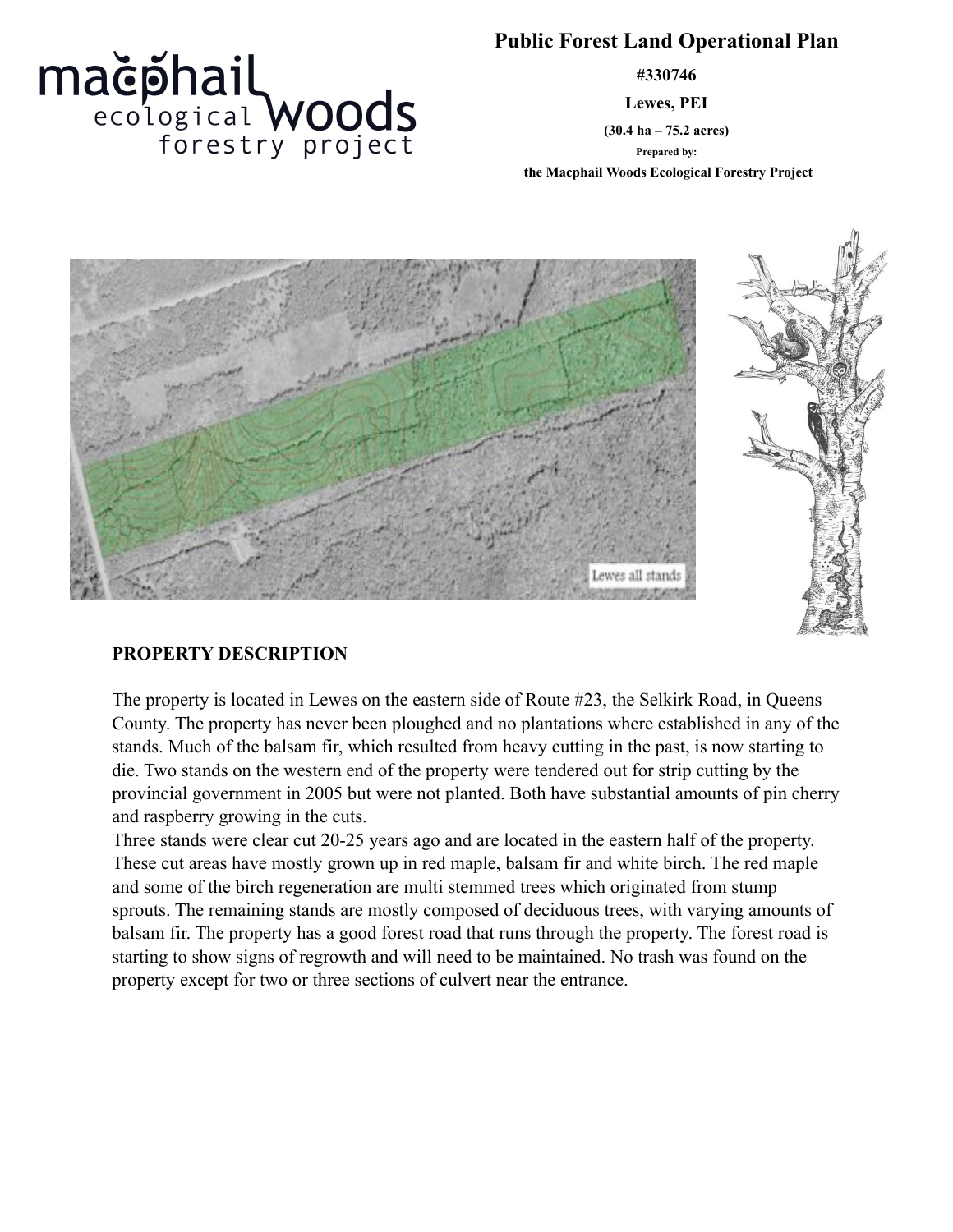# **Public Forest Land Operational Plan**

**#330746**

**Lewes, PEI**

**(30.4 ha – 75.2 acres) Prepared by:**

 **the Macphail Woods Ecological Forestry Project**



### **PROPERTY DESCRIPTION**

mačphail<br>
ecological WOOds<br>
forestry project

The property is located in Lewes on the eastern side of Route #23, the Selkirk Road, in Queens County. The property has never been ploughed and no plantations where established in any of the stands. Much of the balsam fir, which resulted from heavy cutting in the past, is now starting to die. Two stands on the western end of the property were tendered out for strip cutting by the provincial government in 2005 but were not planted. Both have substantial amounts of pin cherry and raspberry growing in the cuts.

Three stands were clear cut 20-25 years ago and are located in the eastern half of the property. These cut areas have mostly grown up in red maple, balsam fir and white birch. The red maple and some of the birch regeneration are multi stemmed trees which originated from stump sprouts. The remaining stands are mostly composed of deciduous trees, with varying amounts of balsam fir. The property has a good forest road that runs through the property. The forest road is starting to show signs of regrowth and will need to be maintained. No trash was found on the property except for two or three sections of culvert near the entrance.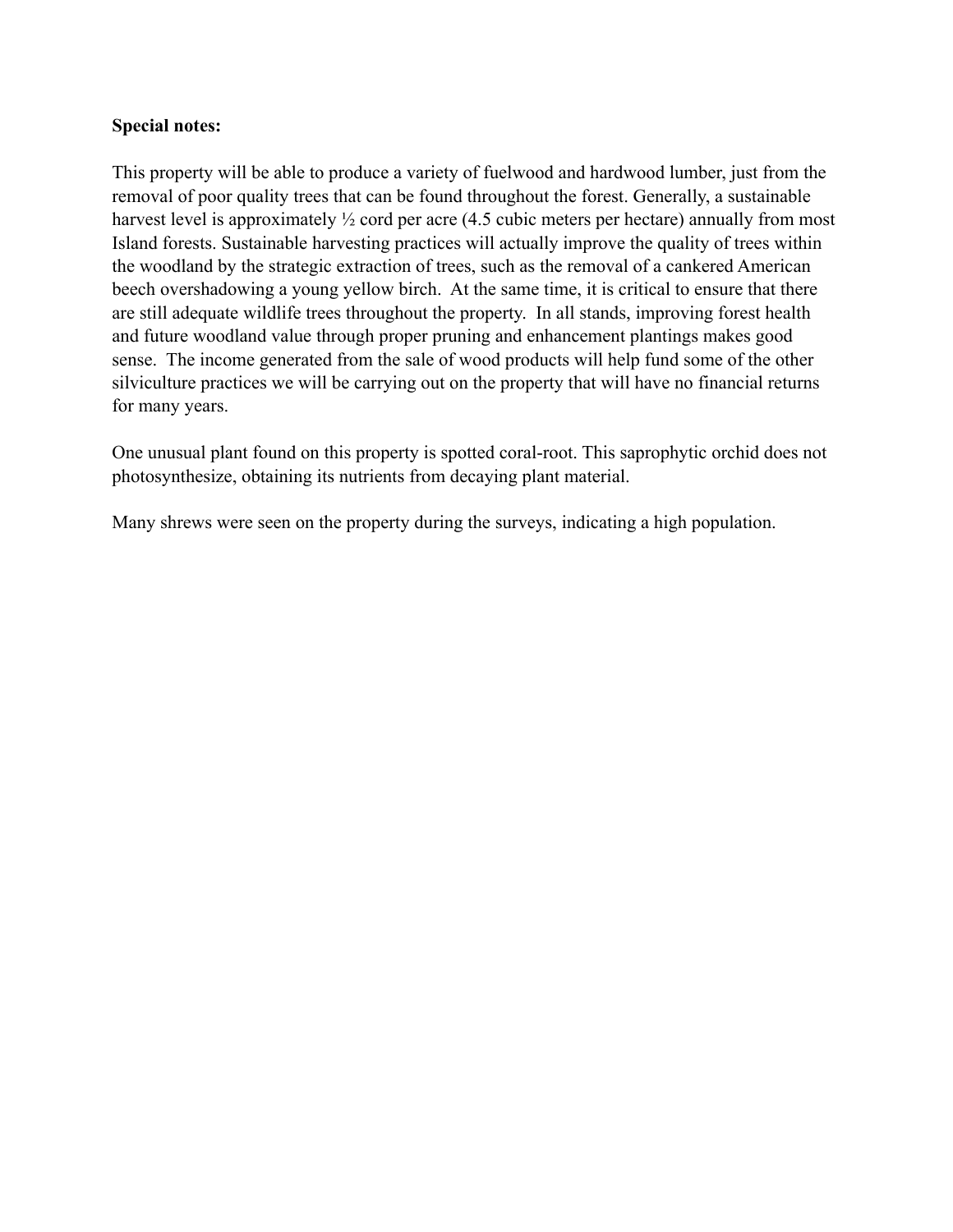#### **Special notes:**

This property will be able to produce a variety of fuelwood and hardwood lumber, just from the removal of poor quality trees that can be found throughout the forest. Generally, a sustainable harvest level is approximately  $\frac{1}{2}$  cord per acre (4.5 cubic meters per hectare) annually from most Island forests. Sustainable harvesting practices will actually improve the quality of trees within the woodland by the strategic extraction of trees, such as the removal of a cankered American beech overshadowing a young yellow birch. At the same time, it is critical to ensure that there are still adequate wildlife trees throughout the property. In all stands, improving forest health and future woodland value through proper pruning and enhancement plantings makes good sense. The income generated from the sale of wood products will help fund some of the other silviculture practices we will be carrying out on the property that will have no financial returns for many years.

One unusual plant found on this property is spotted coral-root. This saprophytic orchid does not photosynthesize, obtaining its nutrients from decaying plant material.

Many shrews were seen on the property during the surveys, indicating a high population.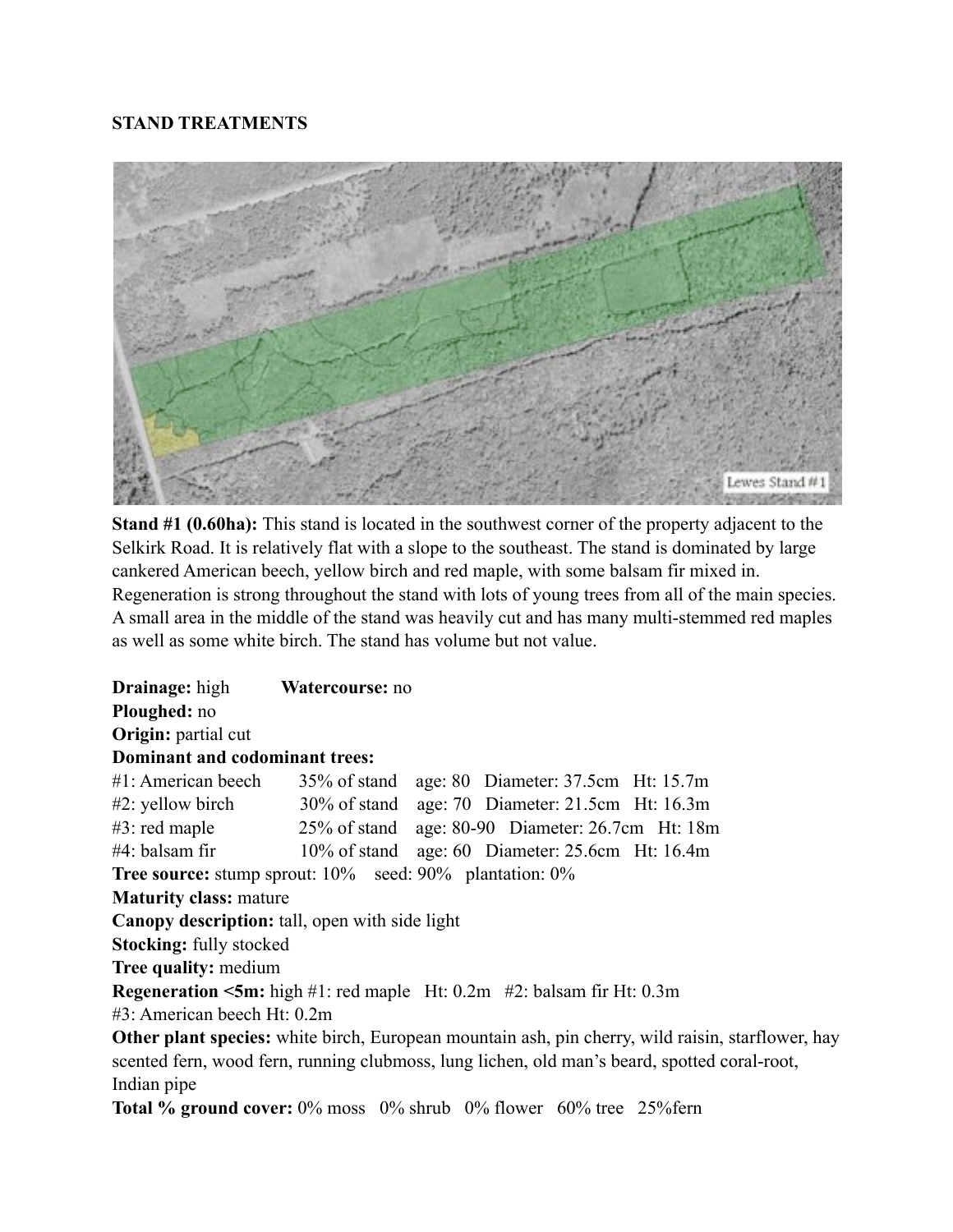## **STAND TREATMENTS**



**Stand #1 (0.60ha):** This stand is located in the southwest corner of the property adjacent to the Selkirk Road. It is relatively flat with a slope to the southeast. The stand is dominated by large cankered American beech, yellow birch and red maple, with some balsam fir mixed in. Regeneration is strong throughout the stand with lots of young trees from all of the main species. A small area in the middle of the stand was heavily cut and has many multi-stemmed red maples as well as some white birch. The stand has volume but not value.

**Drainage:** high **Watercourse:** no **Ploughed:** no **Origin:** partial cut **Dominant and codominant trees:** #1: American beech 35% of stand age: 80 Diameter: 37.5cm Ht: 15.7m #2: yellow birch 30% of stand age: 70 Diameter: 21.5cm Ht: 16.3m #3: red maple 25% of stand age: 80-90 Diameter: 26.7cm Ht: 18m #4: balsam fir 10% of stand age: 60 Diameter: 25.6cm Ht: 16.4m **Tree source:** stump sprout: 10% seed: 90% plantation: 0% **Maturity class:** mature **Canopy description:** tall, open with side light **Stocking:** fully stocked **Tree quality:** medium **Regeneration <5m:** high #1: red maple Ht: 0.2m #2: balsam fir Ht: 0.3m #3: American beech Ht: 0.2m **Other plant species:** white birch, European mountain ash, pin cherry, wild raisin, starflower, hay scented fern, wood fern, running clubmoss, lung lichen, old man's beard, spotted coral-root, Indian pipe

**Total % ground cover:** 0% moss 0% shrub 0% flower 60% tree 25%fern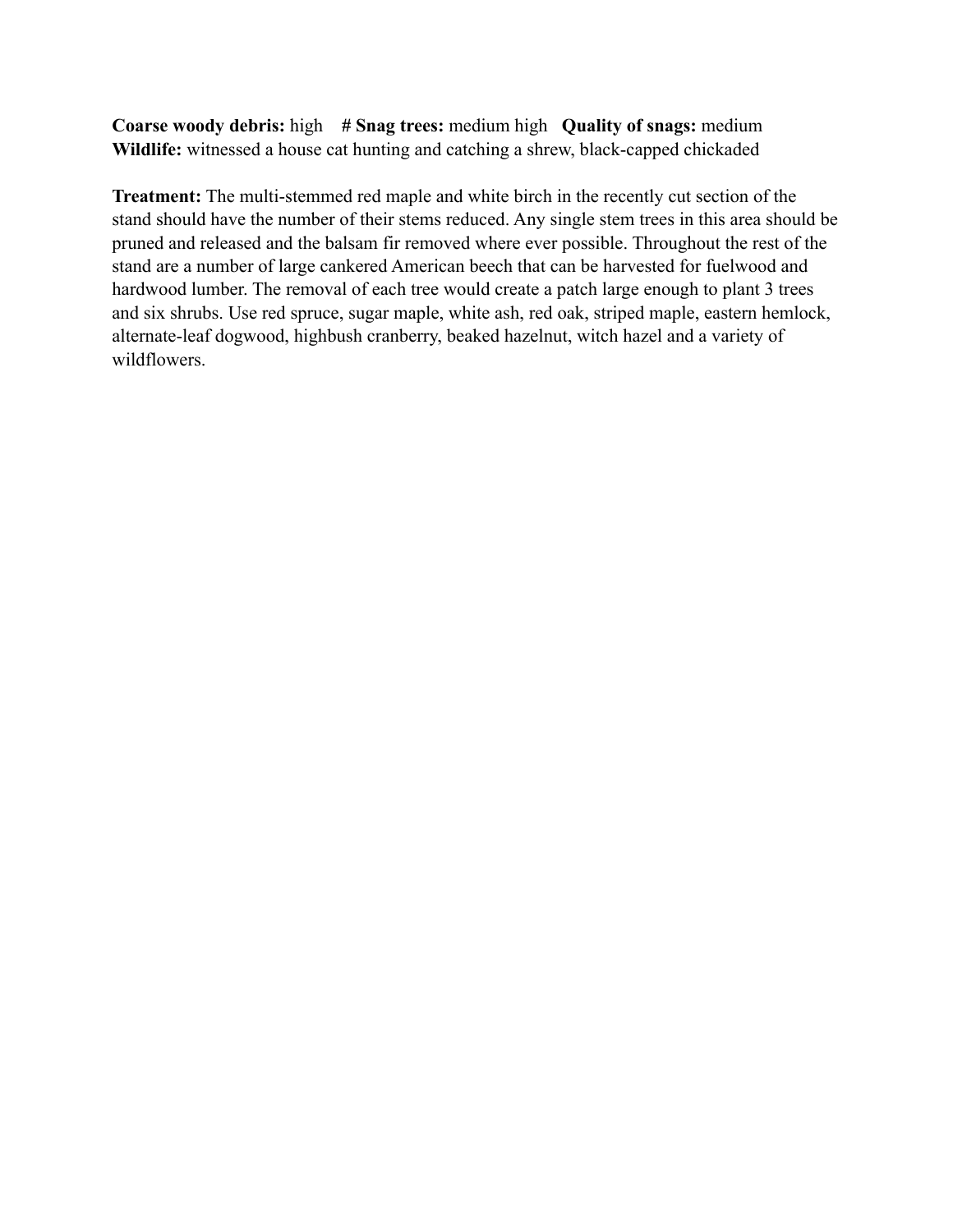**Coarse woody debris:** high **# Snag trees:** medium high **Quality of snags:** medium **Wildlife:** witnessed a house cat hunting and catching a shrew, black-capped chickaded

**Treatment:** The multi-stemmed red maple and white birch in the recently cut section of the stand should have the number of their stems reduced. Any single stem trees in this area should be pruned and released and the balsam fir removed where ever possible. Throughout the rest of the stand are a number of large cankered American beech that can be harvested for fuelwood and hardwood lumber. The removal of each tree would create a patch large enough to plant 3 trees and six shrubs. Use red spruce, sugar maple, white ash, red oak, striped maple, eastern hemlock, alternate-leaf dogwood, highbush cranberry, beaked hazelnut, witch hazel and a variety of wildflowers.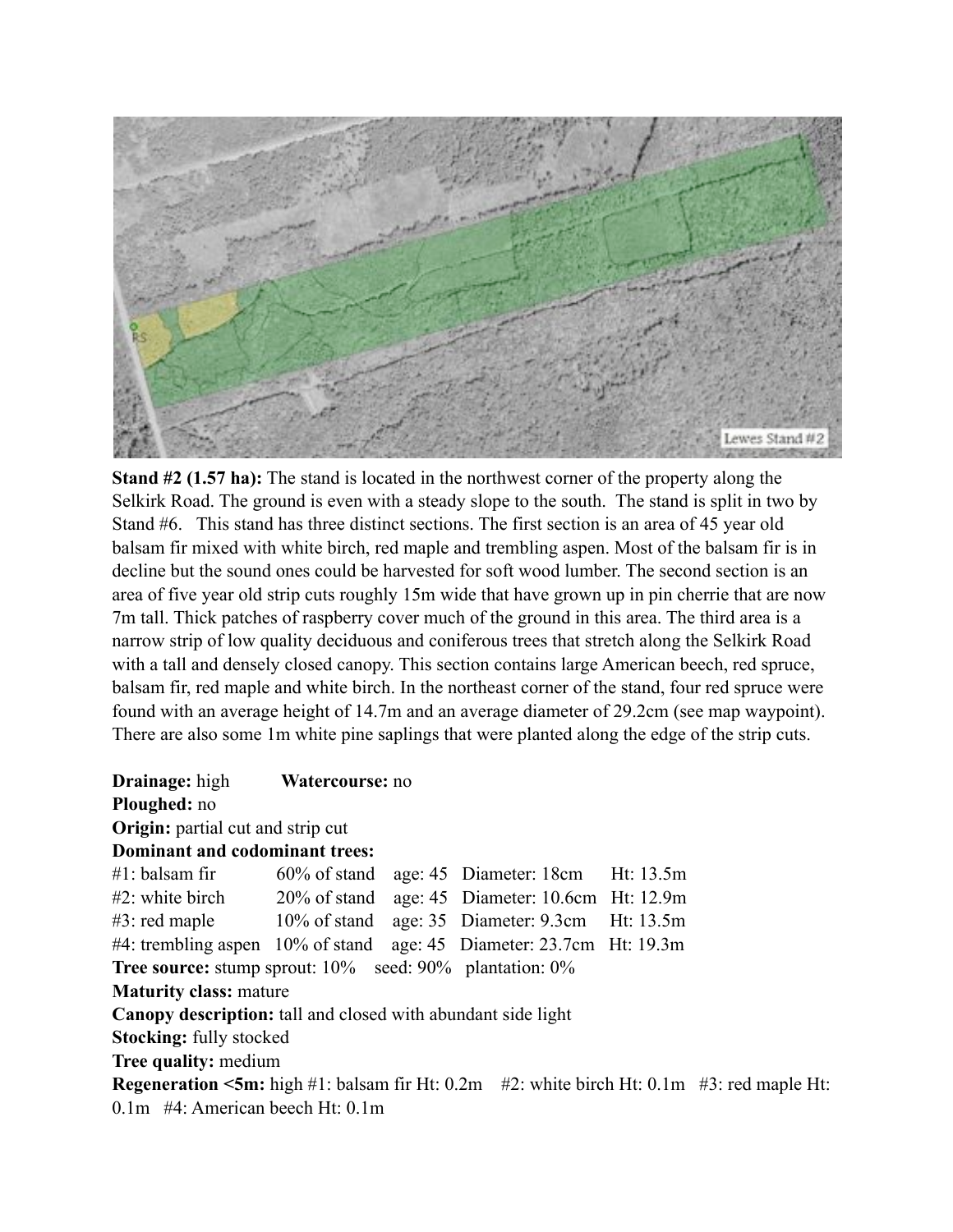

**Stand #2 (1.57 ha):** The stand is located in the northwest corner of the property along the Selkirk Road. The ground is even with a steady slope to the south. The stand is split in two by Stand #6. This stand has three distinct sections. The first section is an area of 45 year old balsam fir mixed with white birch, red maple and trembling aspen. Most of the balsam fir is in decline but the sound ones could be harvested for soft wood lumber. The second section is an area of five year old strip cuts roughly 15m wide that have grown up in pin cherrie that are now 7m tall. Thick patches of raspberry cover much of the ground in this area. The third area is a narrow strip of low quality deciduous and coniferous trees that stretch along the Selkirk Road with a tall and densely closed canopy. This section contains large American beech, red spruce, balsam fir, red maple and white birch. In the northeast corner of the stand, four red spruce were found with an average height of 14.7m and an average diameter of 29.2cm (see map waypoint). There are also some 1m white pine saplings that were planted along the edge of the strip cuts.

**Drainage:** high **Watercourse:** no **Ploughed:** no **Origin:** partial cut and strip cut **Dominant and codominant trees:** #1: balsam fir 60% of stand age: 45 Diameter: 18cm Ht: 13.5m #2: white birch 20% of stand age: 45 Diameter: 10.6cm Ht: 12.9m #3: red maple 10% of stand age: 35 Diameter: 9.3cm Ht: 13.5m #4: trembling aspen 10% of stand age: 45 Diameter: 23.7cm Ht: 19.3m **Tree source:** stump sprout: 10% seed: 90% plantation: 0% **Maturity class:** mature **Canopy description:** tall and closed with abundant side light **Stocking:** fully stocked **Tree quality:** medium **Regeneration <5m:** high #1: balsam fir Ht: 0.2m #2: white birch Ht: 0.1m #3: red maple Ht: 0.1m #4: American beech Ht: 0.1m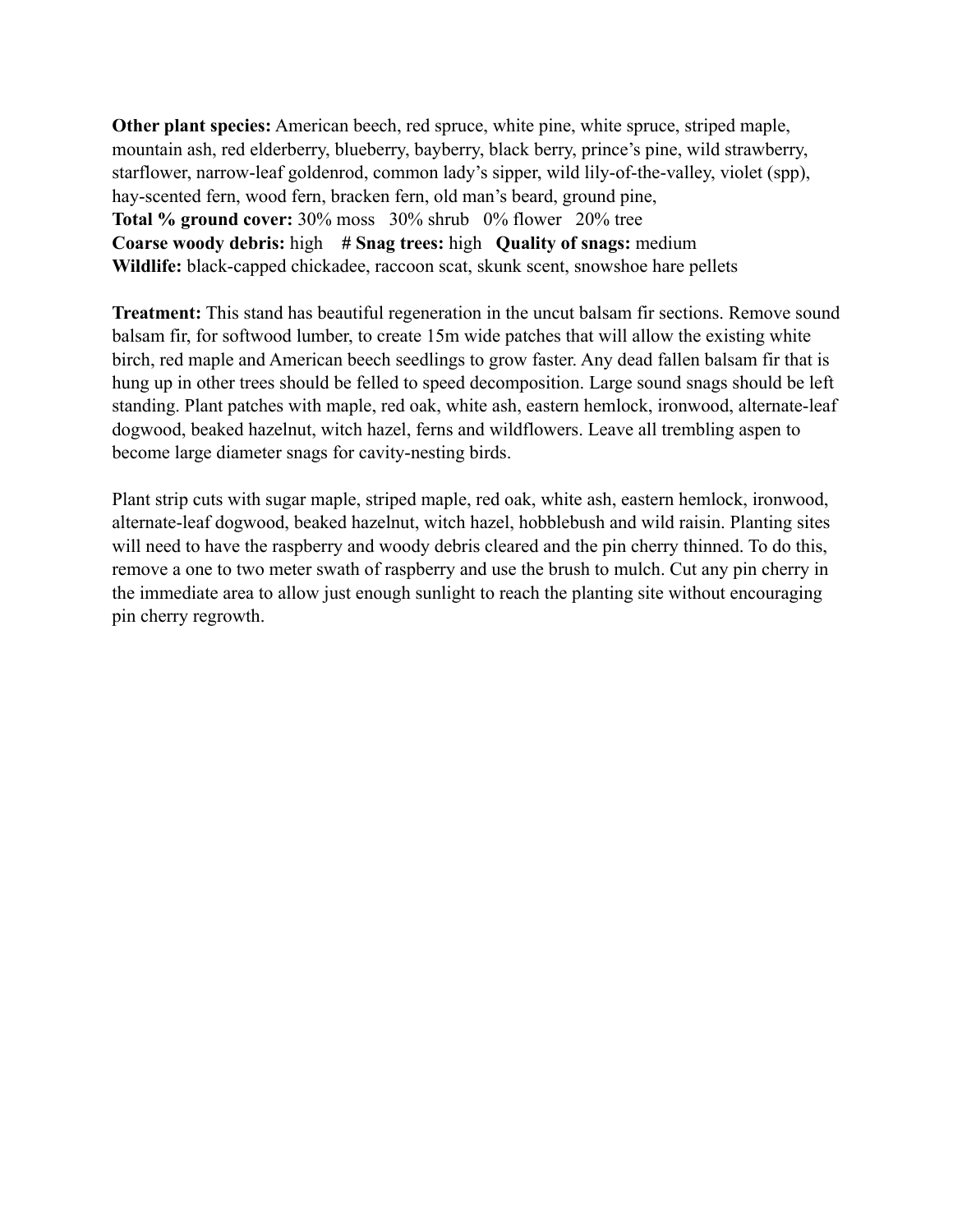**Other plant species:** American beech, red spruce, white pine, white spruce, striped maple, mountain ash, red elderberry, blueberry, bayberry, black berry, prince's pine, wild strawberry, starflower, narrow-leaf goldenrod, common lady's sipper, wild lily-of-the-valley, violet (spp), hay-scented fern, wood fern, bracken fern, old man's beard, ground pine, **Total % ground cover:** 30% moss 30% shrub 0% flower 20% tree **Coarse woody debris:** high **# Snag trees:** high **Quality of snags:** medium **Wildlife:** black-capped chickadee, raccoon scat, skunk scent, snowshoe hare pellets

**Treatment:** This stand has beautiful regeneration in the uncut balsam fir sections. Remove sound balsam fir, for softwood lumber, to create 15m wide patches that will allow the existing white birch, red maple and American beech seedlings to grow faster. Any dead fallen balsam fir that is hung up in other trees should be felled to speed decomposition. Large sound snags should be left standing. Plant patches with maple, red oak, white ash, eastern hemlock, ironwood, alternate-leaf dogwood, beaked hazelnut, witch hazel, ferns and wildflowers. Leave all trembling aspen to become large diameter snags for cavity-nesting birds.

Plant strip cuts with sugar maple, striped maple, red oak, white ash, eastern hemlock, ironwood, alternate-leaf dogwood, beaked hazelnut, witch hazel, hobblebush and wild raisin. Planting sites will need to have the raspberry and woody debris cleared and the pin cherry thinned. To do this, remove a one to two meter swath of raspberry and use the brush to mulch. Cut any pin cherry in the immediate area to allow just enough sunlight to reach the planting site without encouraging pin cherry regrowth.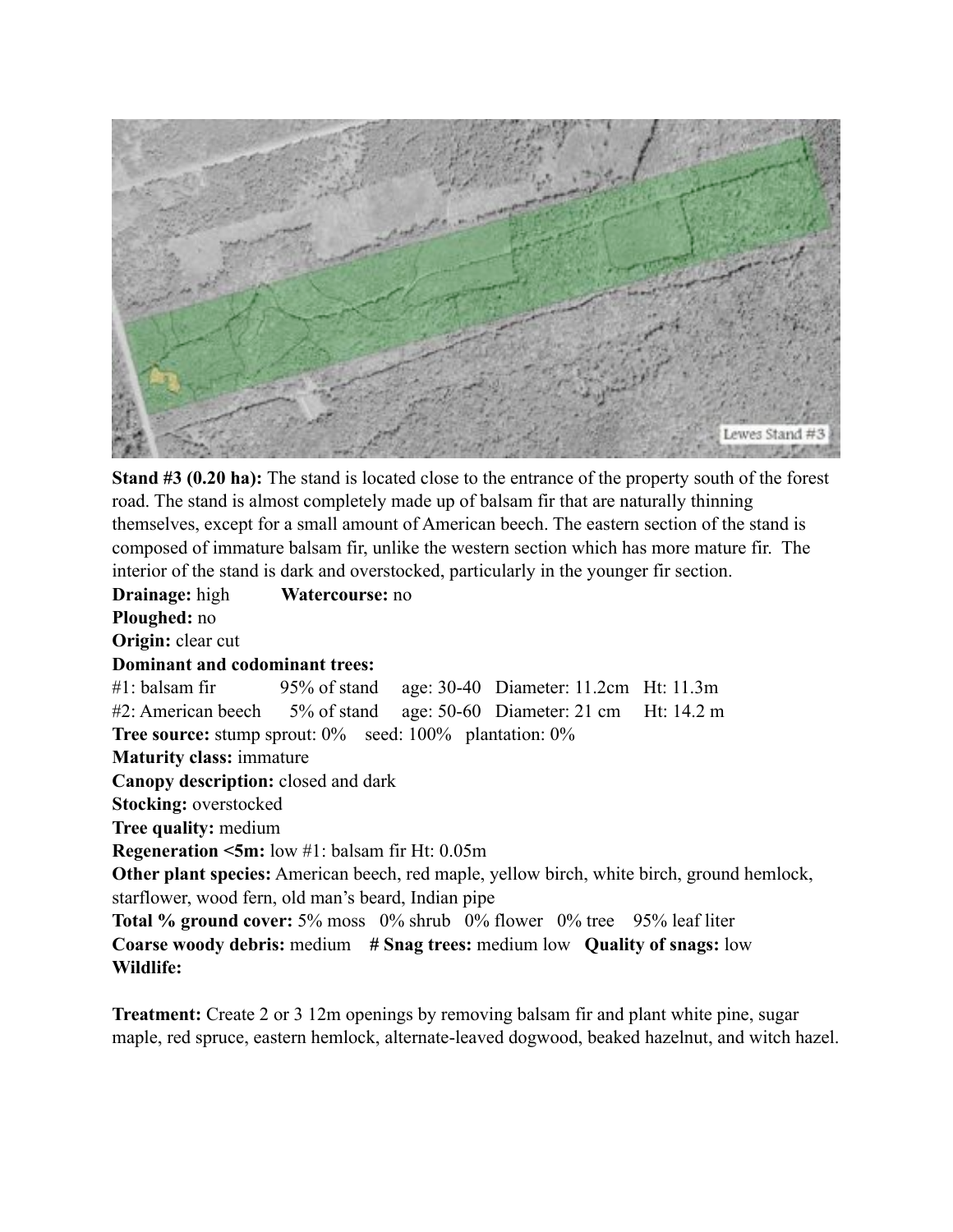

**Stand #3 (0.20 ha):** The stand is located close to the entrance of the property south of the forest road. The stand is almost completely made up of balsam fir that are naturally thinning themselves, except for a small amount of American beech. The eastern section of the stand is composed of immature balsam fir, unlike the western section which has more mature fir. The interior of the stand is dark and overstocked, particularly in the younger fir section.

**Drainage:** high **Watercourse:** no **Ploughed:** no **Origin:** clear cut **Dominant and codominant trees:** #1: balsam fir 95% of stand age: 30-40 Diameter: 11.2cm Ht: 11.3m #2: American beech 5% of stand age: 50-60 Diameter: 21 cm Ht: 14.2 m **Tree source:** stump sprout:  $0\%$  seed:  $100\%$  plantation:  $0\%$ **Maturity class:** immature **Canopy description:** closed and dark **Stocking:** overstocked **Tree quality:** medium **Regeneration <5m:** low #1: balsam fir Ht: 0.05m **Other plant species:** American beech, red maple, yellow birch, white birch, ground hemlock, starflower, wood fern, old man's beard, Indian pipe **Total % ground cover:** 5% moss 0% shrub 0% flower 0% tree 95% leaf liter **Coarse woody debris:** medium **# Snag trees:** medium low **Quality of snags:** low **Wildlife:** 

**Treatment:** Create 2 or 3 12m openings by removing balsam fir and plant white pine, sugar maple, red spruce, eastern hemlock, alternate-leaved dogwood, beaked hazelnut, and witch hazel.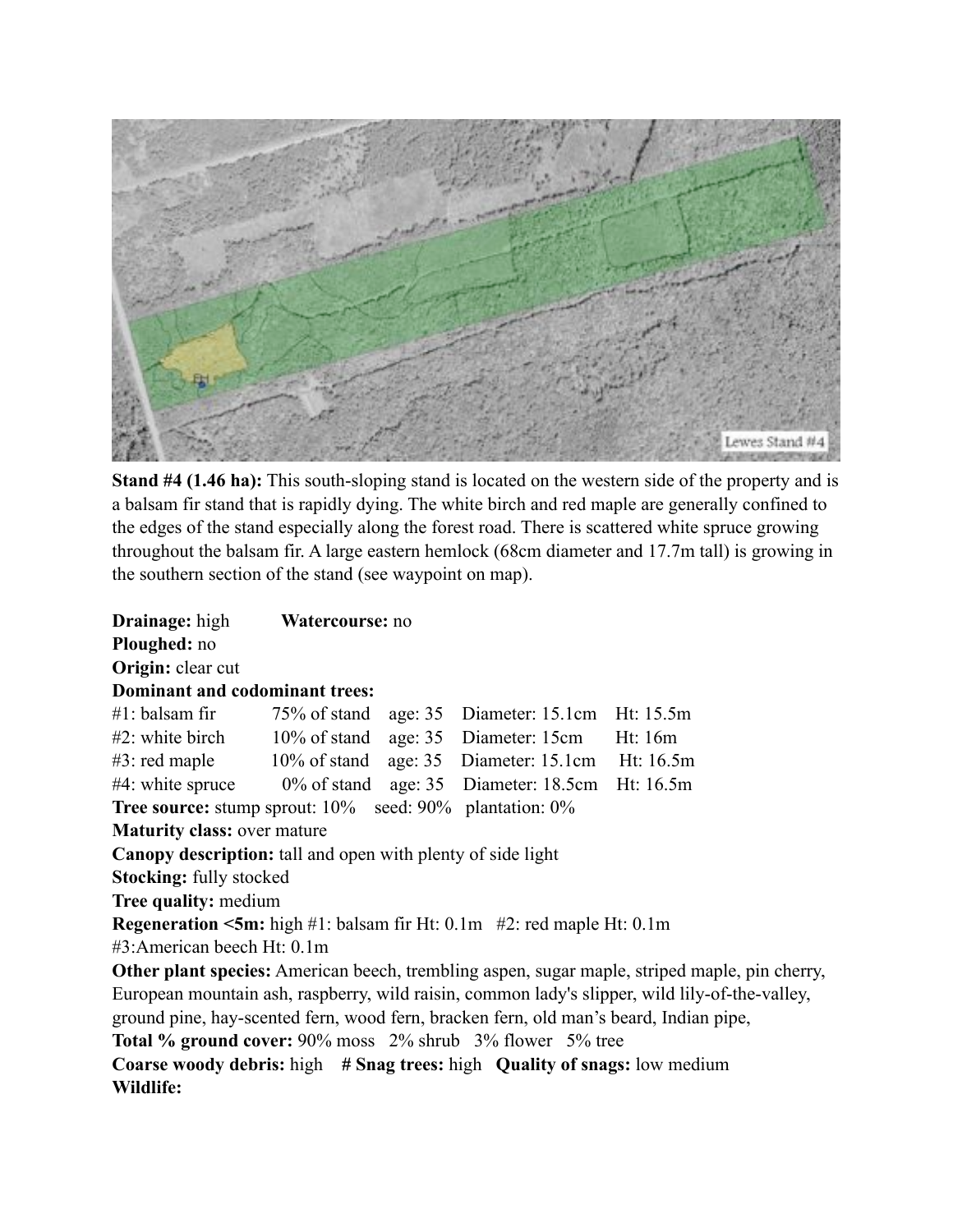

**Stand #4 (1.46 ha):** This south-sloping stand is located on the western side of the property and is a balsam fir stand that is rapidly dying. The white birch and red maple are generally confined to the edges of the stand especially along the forest road. There is scattered white spruce growing throughout the balsam fir. A large eastern hemlock (68cm diameter and 17.7m tall) is growing in the southern section of the stand (see waypoint on map).

| <b>Drainage:</b> high                                                                         | Watercourse: no |  |  |                                                                                                |  |
|-----------------------------------------------------------------------------------------------|-----------------|--|--|------------------------------------------------------------------------------------------------|--|
| Ploughed: no                                                                                  |                 |  |  |                                                                                                |  |
| Origin: clear cut                                                                             |                 |  |  |                                                                                                |  |
| Dominant and codominant trees:                                                                |                 |  |  |                                                                                                |  |
| #1: balsam fir 75% of stand age: 35 Diameter: 15.1cm Ht: 15.5m                                |                 |  |  |                                                                                                |  |
| #2: white birch 10% of stand age: 35 Diameter: 15cm Ht: 16m                                   |                 |  |  |                                                                                                |  |
| $#3$ : red maple $10\%$ of stand age: 35 Diameter: 15.1cm Ht: 16.5m                           |                 |  |  |                                                                                                |  |
| #4: white spruce 0% of stand age: 35 Diameter: 18.5cm Ht: 16.5m                               |                 |  |  |                                                                                                |  |
| <b>Tree source:</b> stump sprout: 10% seed: 90% plantation: 0%                                |                 |  |  |                                                                                                |  |
| <b>Maturity class: over mature</b>                                                            |                 |  |  |                                                                                                |  |
| <b>Canopy description:</b> tall and open with plenty of side light                            |                 |  |  |                                                                                                |  |
| <b>Stocking:</b> fully stocked                                                                |                 |  |  |                                                                                                |  |
| Tree quality: medium                                                                          |                 |  |  |                                                                                                |  |
| <b>Regeneration <math>\leq 5m</math>:</b> high #1: balsam fir Ht: 0.1m #2: red maple Ht: 0.1m |                 |  |  |                                                                                                |  |
| #3:American beech Ht: 0.1m                                                                    |                 |  |  |                                                                                                |  |
|                                                                                               |                 |  |  | Other plant species: American beech, trembling aspen, sugar maple, striped maple, pin cherry,  |  |
|                                                                                               |                 |  |  | European mountain ash, raspberry, wild raisin, common lady's slipper, wild lily-of-the-valley, |  |
| ground pine, hay-scented fern, wood fern, bracken fern, old man's beard, Indian pipe,         |                 |  |  |                                                                                                |  |
| <b>Total % ground cover:</b> 90% moss 2% shrub 3% flower 5% tree                              |                 |  |  |                                                                                                |  |
| Coarse woody debris: high # Snag trees: high Quality of snags: low medium                     |                 |  |  |                                                                                                |  |
| Wildlife:                                                                                     |                 |  |  |                                                                                                |  |
|                                                                                               |                 |  |  |                                                                                                |  |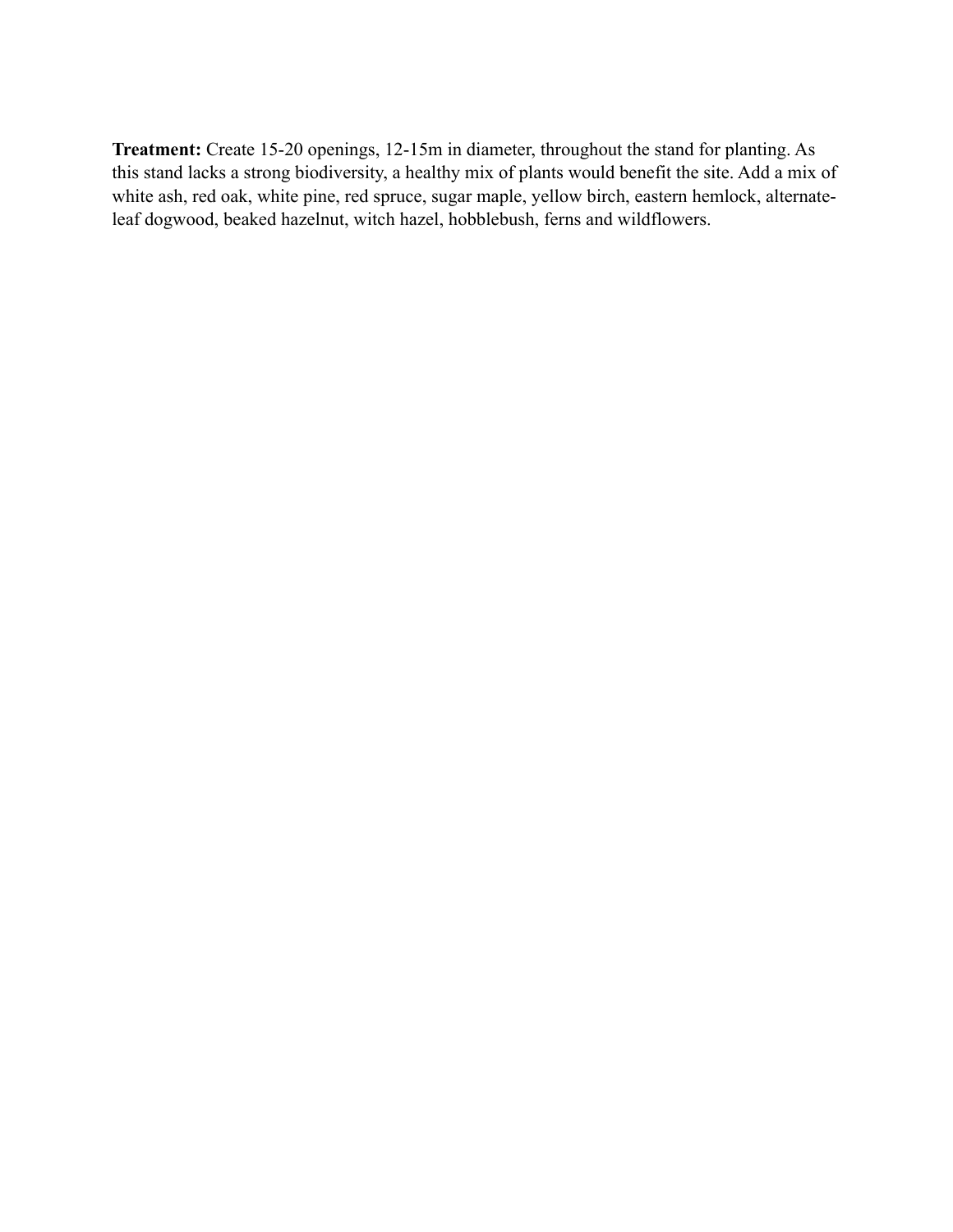**Treatment:** Create 15-20 openings, 12-15m in diameter, throughout the stand for planting. As this stand lacks a strong biodiversity, a healthy mix of plants would benefit the site. Add a mix of white ash, red oak, white pine, red spruce, sugar maple, yellow birch, eastern hemlock, alternateleaf dogwood, beaked hazelnut, witch hazel, hobblebush, ferns and wildflowers.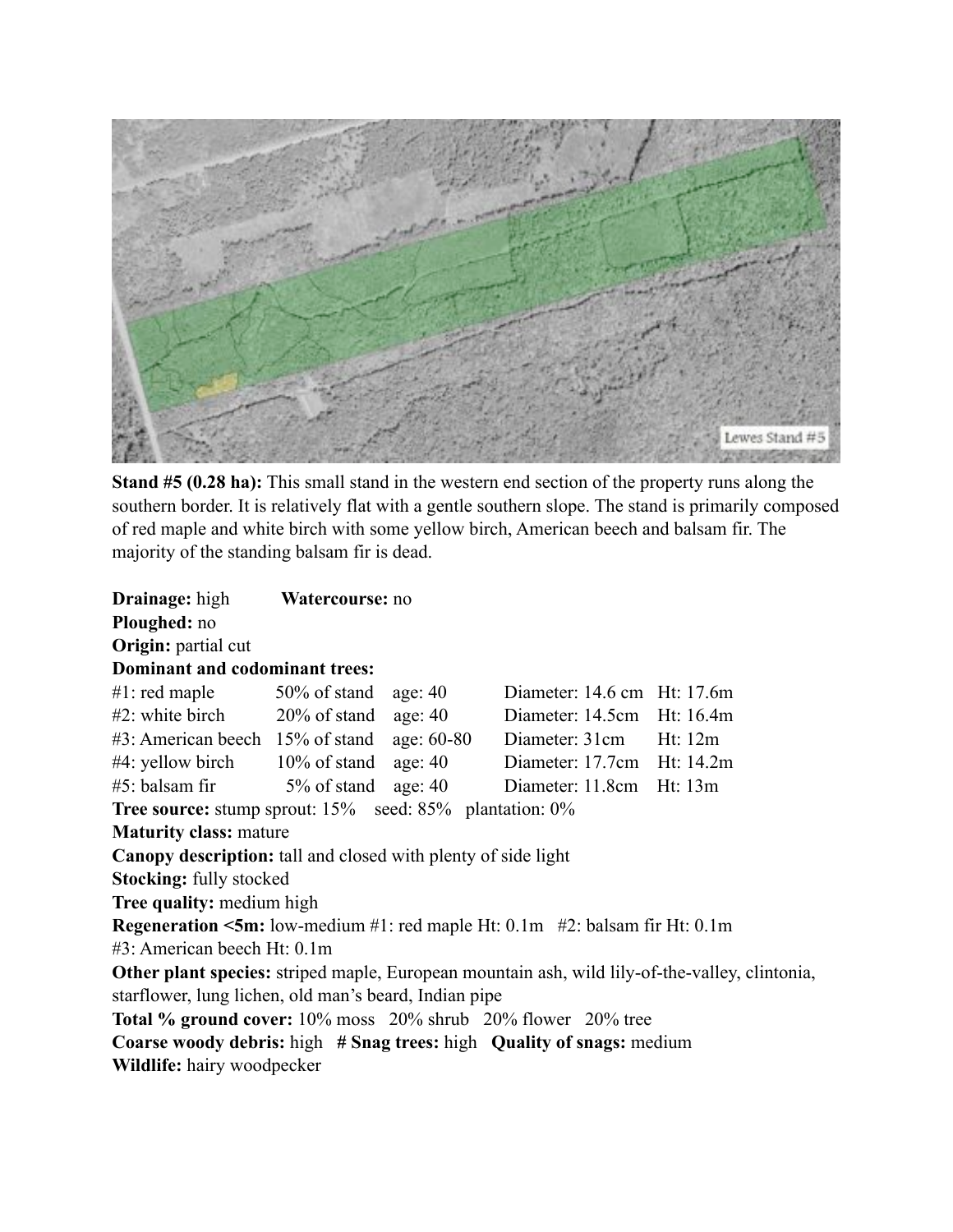

**Stand #5 (0.28 ha):** This small stand in the western end section of the property runs along the southern border. It is relatively flat with a gentle southern slope. The stand is primarily composed of red maple and white birch with some yellow birch, American beech and balsam fir. The majority of the standing balsam fir is dead.

| <b>Drainage:</b> high                                                                       | Watercourse: no |           |                             |                                                                                                |  |
|---------------------------------------------------------------------------------------------|-----------------|-----------|-----------------------------|------------------------------------------------------------------------------------------------|--|
| Ploughed: no                                                                                |                 |           |                             |                                                                                                |  |
| Origin: partial cut                                                                         |                 |           |                             |                                                                                                |  |
| <b>Dominant and codominant trees:</b>                                                       |                 |           |                             |                                                                                                |  |
| $#1$ : red maple $50\%$ of stand                                                            |                 | age: $40$ | Diameter: 14.6 cm Ht: 17.6m |                                                                                                |  |
| $\#2$ : white birch $20\%$ of stand age: 40                                                 |                 |           | Diameter: 14.5cm Ht: 16.4m  |                                                                                                |  |
| #3: American beech 15% of stand age: 60-80 Diameter: 31cm Ht: 12m                           |                 |           |                             |                                                                                                |  |
| $#4$ : yellow birch $10\%$ of stand age: 40                                                 |                 |           | Diameter: 17.7cm Ht: 14.2m  |                                                                                                |  |
| $#5$ : balsam fir 5% of stand                                                               |                 | age: $40$ | Diameter: 11.8cm Ht: 13m    |                                                                                                |  |
| <b>Tree source:</b> stump sprout: 15% seed: 85% plantation: 0%                              |                 |           |                             |                                                                                                |  |
| <b>Maturity class: mature</b>                                                               |                 |           |                             |                                                                                                |  |
| <b>Canopy description:</b> tall and closed with plenty of side light                        |                 |           |                             |                                                                                                |  |
| <b>Stocking: fully stocked</b>                                                              |                 |           |                             |                                                                                                |  |
| Tree quality: medium high                                                                   |                 |           |                             |                                                                                                |  |
| <b>Regeneration &lt;5m:</b> low-medium $#1$ : red maple Ht: 0.1m $#2$ : balsam fir Ht: 0.1m |                 |           |                             |                                                                                                |  |
| #3: American beech Ht: 0.1m                                                                 |                 |           |                             |                                                                                                |  |
|                                                                                             |                 |           |                             | Other plant species: striped maple, European mountain ash, wild lily-of-the-valley, clintonia, |  |
| starflower, lung lichen, old man's beard, Indian pipe                                       |                 |           |                             |                                                                                                |  |
| <b>Total % ground cover:</b> 10% moss 20% shrub 20% flower 20% tree                         |                 |           |                             |                                                                                                |  |
| Coarse woody debris: high # Snag trees: high Quality of snags: medium                       |                 |           |                             |                                                                                                |  |
| <b>Wildlife:</b> hairy woodpecker                                                           |                 |           |                             |                                                                                                |  |
|                                                                                             |                 |           |                             |                                                                                                |  |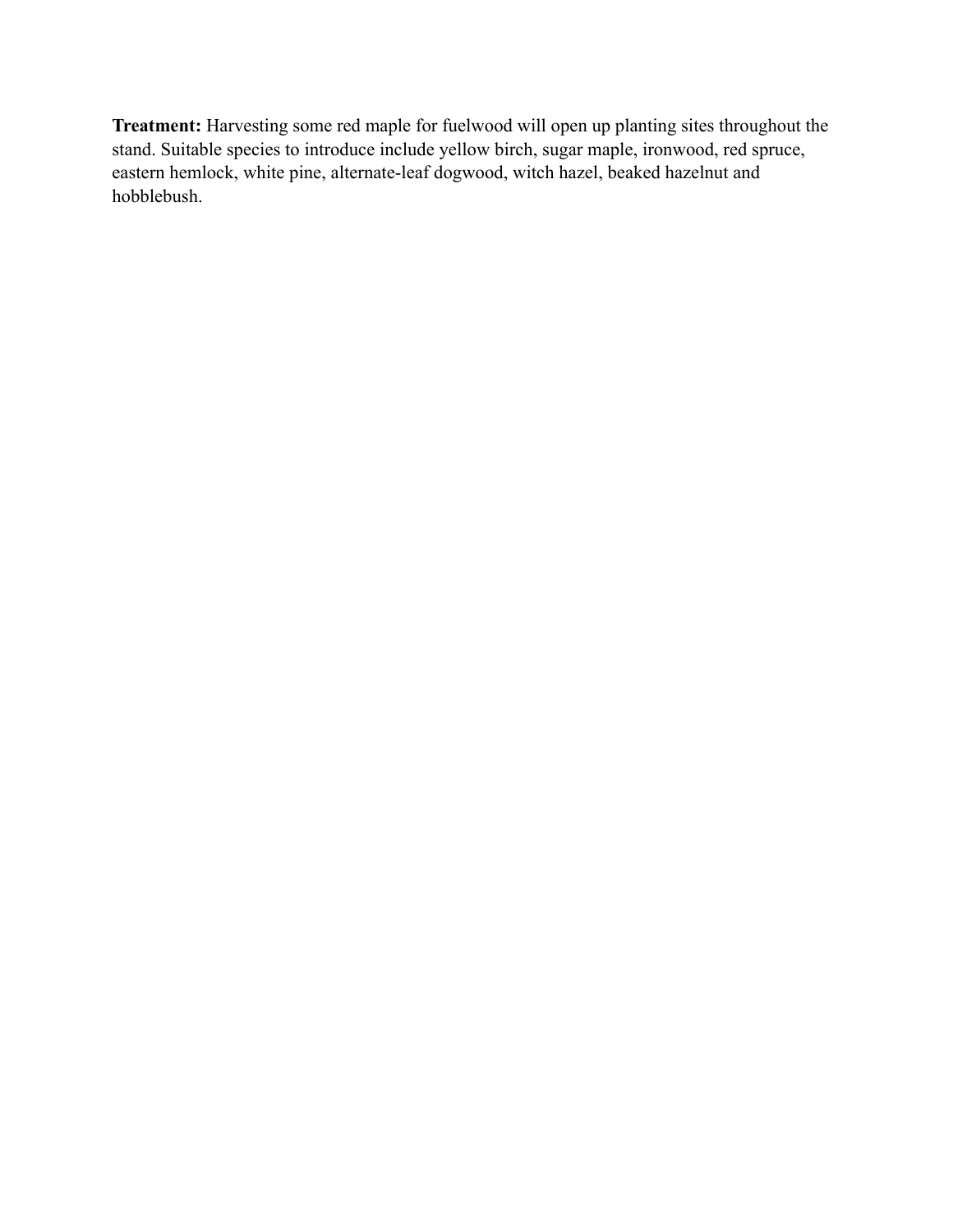**Treatment:** Harvesting some red maple for fuelwood will open up planting sites throughout the stand. Suitable species to introduce include yellow birch, sugar maple, ironwood, red spruce, eastern hemlock, white pine, alternate-leaf dogwood, witch hazel, beaked hazelnut and hobblebush.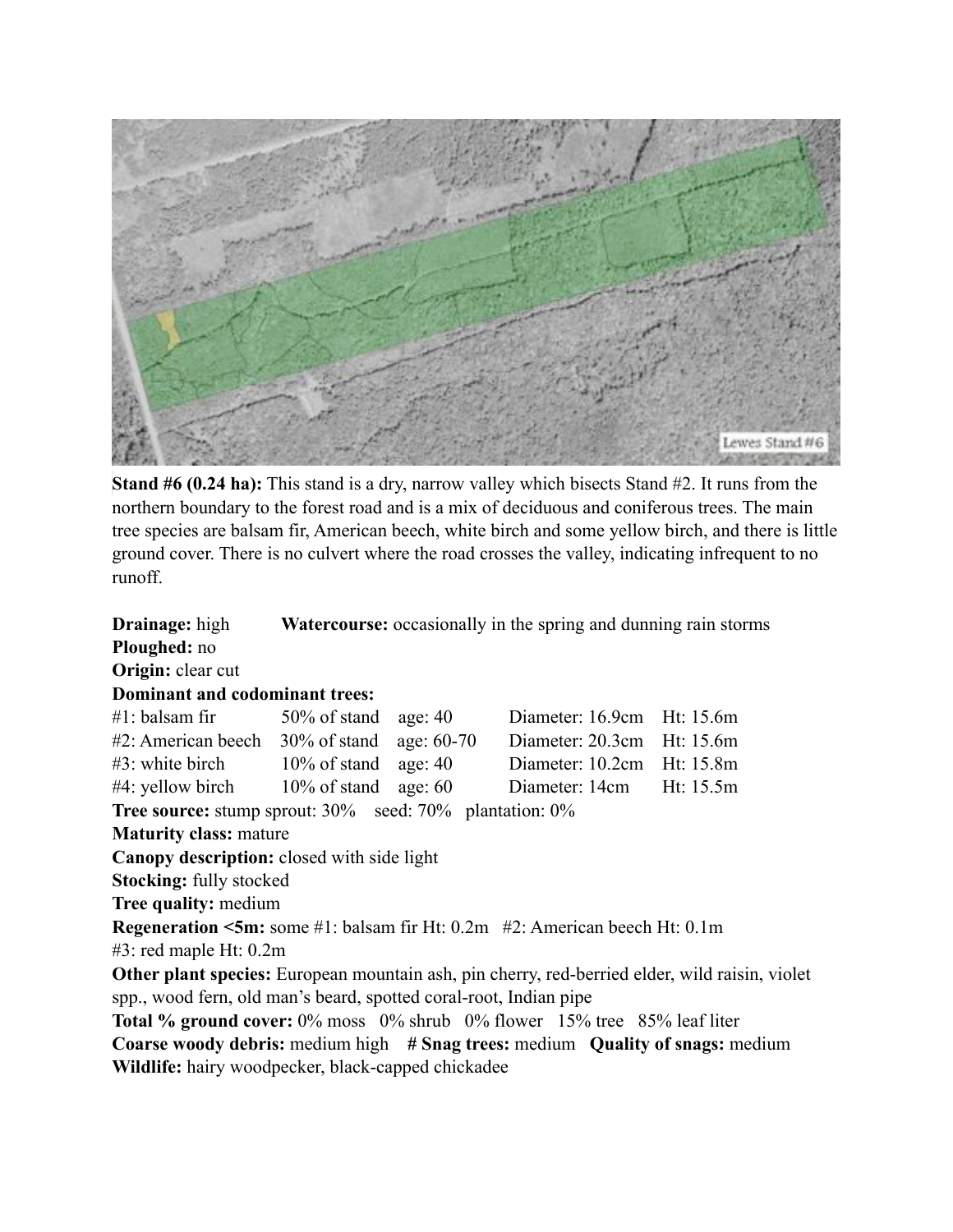

**Stand #6 (0.24 ha):** This stand is a dry, narrow valley which bisects Stand #2. It runs from the northern boundary to the forest road and is a mix of deciduous and coniferous trees. The main tree species are balsam fir, American beech, white birch and some yellow birch, and there is little ground cover. There is no culvert where the road crosses the valley, indicating infrequent to no runoff.

| <b>Drainage:</b> high                                                                                 |  |  | <b>Watercourse:</b> occasionally in the spring and dunning rain storms |           |  |
|-------------------------------------------------------------------------------------------------------|--|--|------------------------------------------------------------------------|-----------|--|
| Ploughed: no                                                                                          |  |  |                                                                        |           |  |
| Origin: clear cut                                                                                     |  |  |                                                                        |           |  |
| <b>Dominant and codominant trees:</b>                                                                 |  |  |                                                                        |           |  |
| $#1$ : balsam fir 50% of stand age: 40                                                                |  |  | Diameter: 16.9cm Ht: 15.6m                                             |           |  |
| $#2$ : American beech 30% of stand age: 60-70                                                         |  |  | Diameter: 20.3cm Ht: 15.6m                                             |           |  |
| $\#3$ : white birch $10\%$ of stand age: 40                                                           |  |  | Diameter: 10.2cm Ht: 15.8m                                             |           |  |
| $#4$ : yellow birch $10\%$ of stand age: 60                                                           |  |  | Diameter: 14cm                                                         | Ht: 15.5m |  |
| <b>Tree source:</b> stump sprout: $30\%$ seed: $70\%$ plantation: $0\%$                               |  |  |                                                                        |           |  |
| <b>Maturity class: mature</b>                                                                         |  |  |                                                                        |           |  |
| <b>Canopy description:</b> closed with side light                                                     |  |  |                                                                        |           |  |
| <b>Stocking:</b> fully stocked                                                                        |  |  |                                                                        |           |  |
| <b>Tree quality: medium</b>                                                                           |  |  |                                                                        |           |  |
| <b>Regeneration &lt;5m:</b> some #1: balsam fir Ht: $0.2m$ #2: American beech Ht: $0.1m$              |  |  |                                                                        |           |  |
| #3: red maple Ht: 0.2m                                                                                |  |  |                                                                        |           |  |
| <b>Other plant species:</b> European mountain ash, pin cherry, red-berried elder, wild raisin, violet |  |  |                                                                        |           |  |
| spp., wood fern, old man's beard, spotted coral-root, Indian pipe                                     |  |  |                                                                        |           |  |
| <b>Total % ground cover:</b> 0% moss 0% shrub 0% flower 15% tree 85% leaf liter                       |  |  |                                                                        |           |  |
| Coarse woody debris: medium high # Snag trees: medium Quality of snags: medium                        |  |  |                                                                        |           |  |
| <b>Wildlife:</b> hairy woodpecker, black-capped chickadee                                             |  |  |                                                                        |           |  |
|                                                                                                       |  |  |                                                                        |           |  |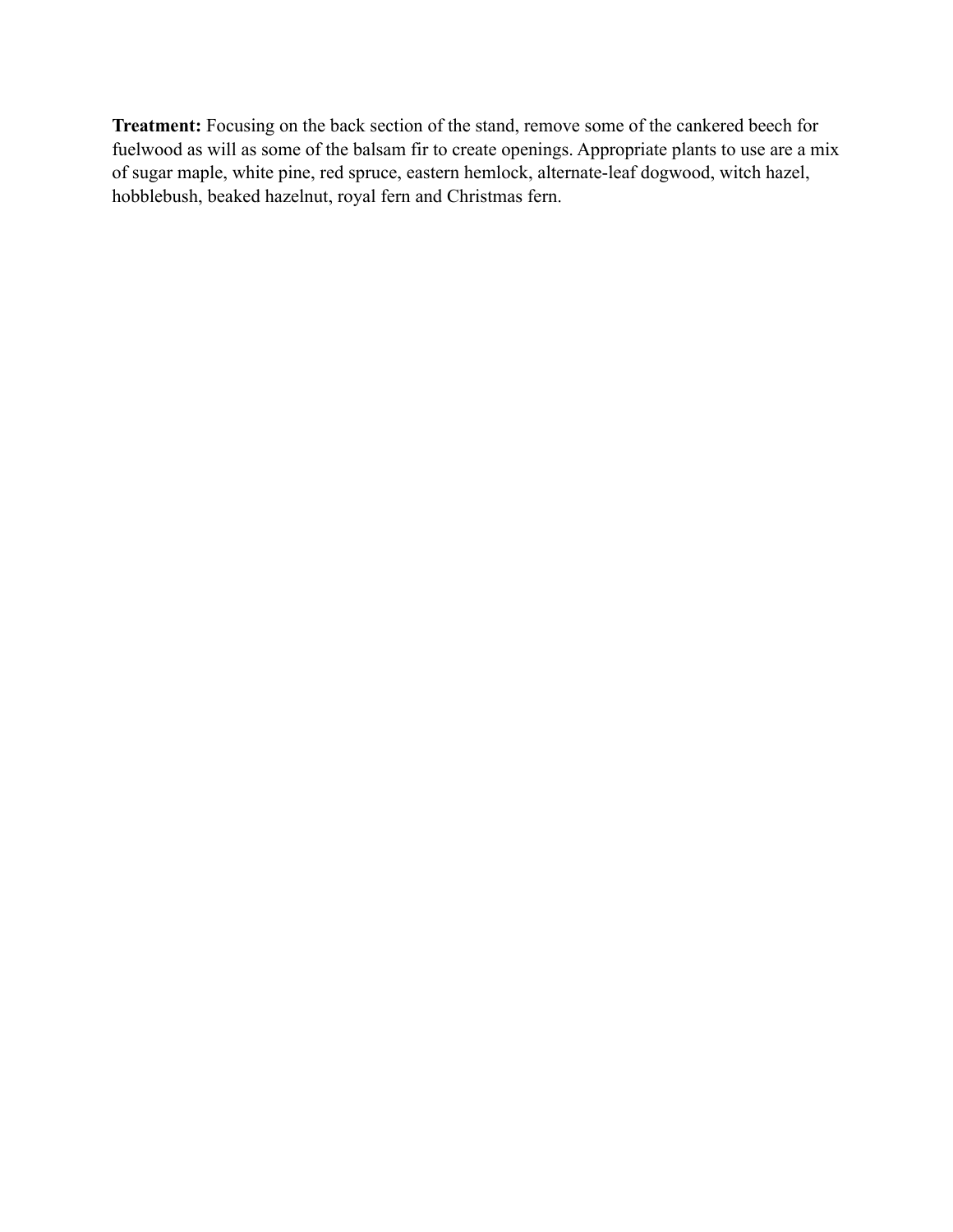**Treatment:** Focusing on the back section of the stand, remove some of the cankered beech for fuelwood as will as some of the balsam fir to create openings. Appropriate plants to use are a mix of sugar maple, white pine, red spruce, eastern hemlock, alternate-leaf dogwood, witch hazel, hobblebush, beaked hazelnut, royal fern and Christmas fern.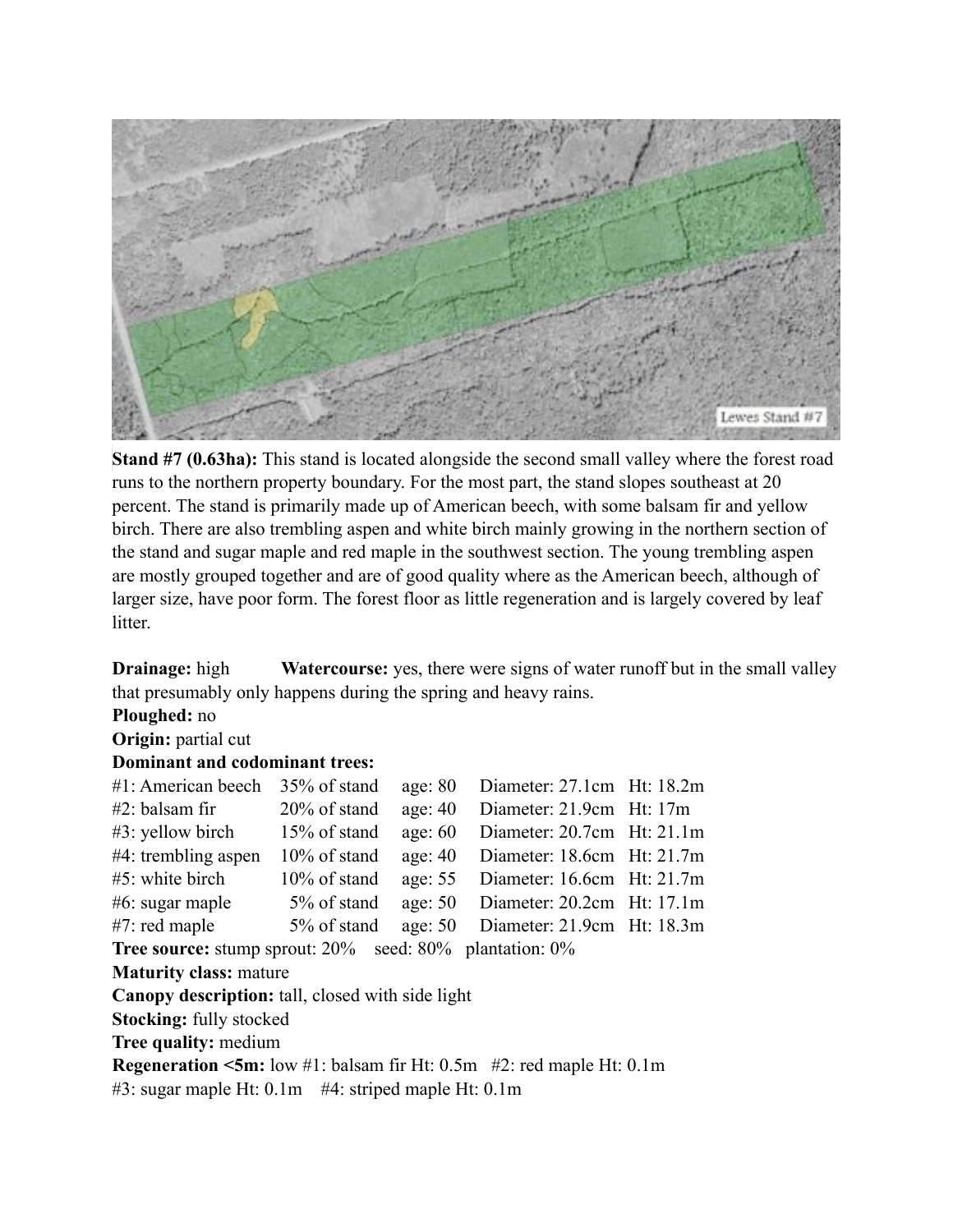

**Stand #7 (0.63ha):** This stand is located alongside the second small valley where the forest road runs to the northern property boundary. For the most part, the stand slopes southeast at 20 percent. The stand is primarily made up of American beech, with some balsam fir and yellow birch. There are also trembling aspen and white birch mainly growing in the northern section of the stand and sugar maple and red maple in the southwest section. The young trembling aspen are mostly grouped together and are of good quality where as the American beech, although of larger size, have poor form. The forest floor as little regeneration and is largely covered by leaf litter.

**Drainage:** high **Watercourse:** yes, there were signs of water runoff but in the small valley that presumably only happens during the spring and heavy rains.

**Ploughed:** no

### **Origin:** partial cut

### **Dominant and codominant trees:**

| $#1$ : American beech                                                                        | 35% of stand    | age: 80   | Diameter: 27.1cm Ht: 18.2m     |  |  |  |  |
|----------------------------------------------------------------------------------------------|-----------------|-----------|--------------------------------|--|--|--|--|
| $#2$ : balsam fir                                                                            | $20\%$ of stand | age: 40   | Diameter: 21.9cm Ht: 17m       |  |  |  |  |
| $#3$ : yellow birch                                                                          | 15% of stand    | age: $60$ | Diameter: $20.7cm$ Ht: $21.1m$ |  |  |  |  |
| $#4$ : trembling aspen                                                                       | $10\%$ of stand | age: $40$ | Diameter: 18.6cm Ht: 21.7m     |  |  |  |  |
| $#5$ : white birch                                                                           | $10\%$ of stand | age: 55   | Diameter: 16.6cm Ht: 21.7m     |  |  |  |  |
| $#6$ : sugar maple                                                                           | 5% of stand     | age: $50$ | Diameter: $20.2cm$ Ht: 17.1m   |  |  |  |  |
| $#7$ : red maple                                                                             | 5% of stand     | age: $50$ | Diameter: 21.9cm Ht: 18.3m     |  |  |  |  |
| <b>Tree source:</b> stump sprout: $20\%$ seed: $80\%$ plantation: $0\%$                      |                 |           |                                |  |  |  |  |
| <b>Maturity class: mature</b>                                                                |                 |           |                                |  |  |  |  |
| Canopy description: tall, closed with side light                                             |                 |           |                                |  |  |  |  |
| <b>Stocking:</b> fully stocked                                                               |                 |           |                                |  |  |  |  |
| <b>Tree quality: medium</b>                                                                  |                 |           |                                |  |  |  |  |
| <b>Regeneration <math>\leq 5m</math>:</b> low #1: balsam fir Ht: 0.5m #2: red maple Ht: 0.1m |                 |           |                                |  |  |  |  |
| $#3$ : sugar maple Ht: 0.1m $#4$ : striped maple Ht: 0.1m                                    |                 |           |                                |  |  |  |  |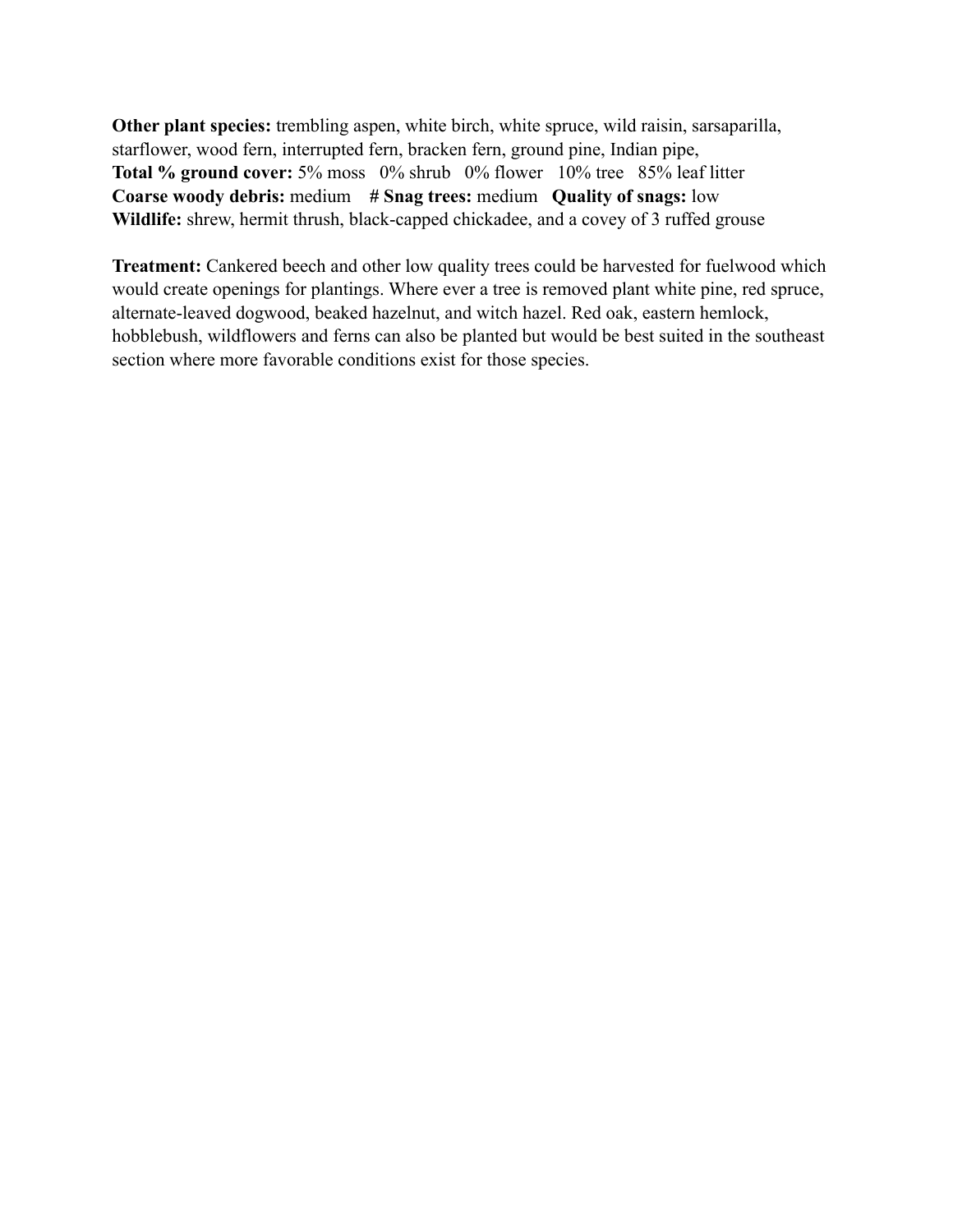**Other plant species:** trembling aspen, white birch, white spruce, wild raisin, sarsaparilla, starflower, wood fern, interrupted fern, bracken fern, ground pine, Indian pipe, **Total % ground cover:** 5% moss 0% shrub 0% flower 10% tree 85% leaf litter **Coarse woody debris:** medium **# Snag trees:** medium **Quality of snags:** low **Wildlife:** shrew, hermit thrush, black-capped chickadee, and a covey of 3 ruffed grouse

**Treatment:** Cankered beech and other low quality trees could be harvested for fuelwood which would create openings for plantings. Where ever a tree is removed plant white pine, red spruce, alternate-leaved dogwood, beaked hazelnut, and witch hazel. Red oak, eastern hemlock, hobblebush, wildflowers and ferns can also be planted but would be best suited in the southeast section where more favorable conditions exist for those species.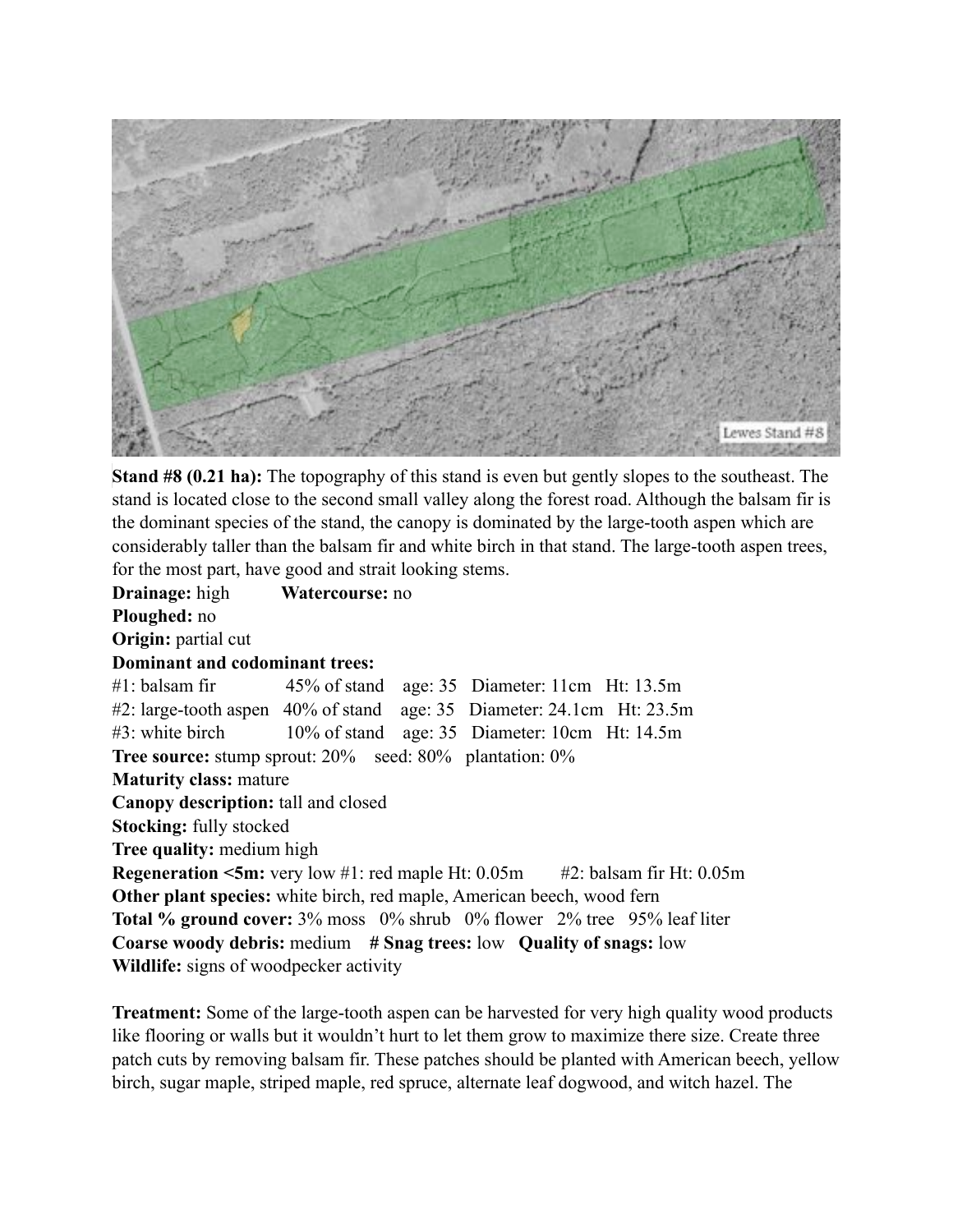

**Stand #8 (0.21 ha):** The topography of this stand is even but gently slopes to the southeast. The stand is located close to the second small valley along the forest road. Although the balsam fir is the dominant species of the stand, the canopy is dominated by the large-tooth aspen which are considerably taller than the balsam fir and white birch in that stand. The large-tooth aspen trees, for the most part, have good and strait looking stems.

**Drainage:** high **Watercourse:** no **Ploughed:** no **Origin:** partial cut **Dominant and codominant trees:** #1: balsam fir 45% of stand age: 35 Diameter: 11cm Ht: 13.5m #2: large-tooth aspen 40% of stand age: 35 Diameter: 24.1cm Ht: 23.5m #3: white birch 10% of stand age: 35 Diameter: 10cm Ht: 14.5m **Tree source:** stump sprout: 20% seed: 80% plantation: 0% **Maturity class:** mature **Canopy description:** tall and closed **Stocking:** fully stocked **Tree quality:** medium high **Regeneration <5m:** very low #1: red maple Ht: 0.05m #2: balsam fir Ht: 0.05m **Other plant species:** white birch, red maple, American beech, wood fern **Total % ground cover:** 3% moss 0% shrub 0% flower 2% tree 95% leaf liter **Coarse woody debris:** medium **# Snag trees:** low **Quality of snags:** low **Wildlife:** signs of woodpecker activity

**Treatment:** Some of the large-tooth aspen can be harvested for very high quality wood products like flooring or walls but it wouldn't hurt to let them grow to maximize there size. Create three patch cuts by removing balsam fir. These patches should be planted with American beech, yellow birch, sugar maple, striped maple, red spruce, alternate leaf dogwood, and witch hazel. The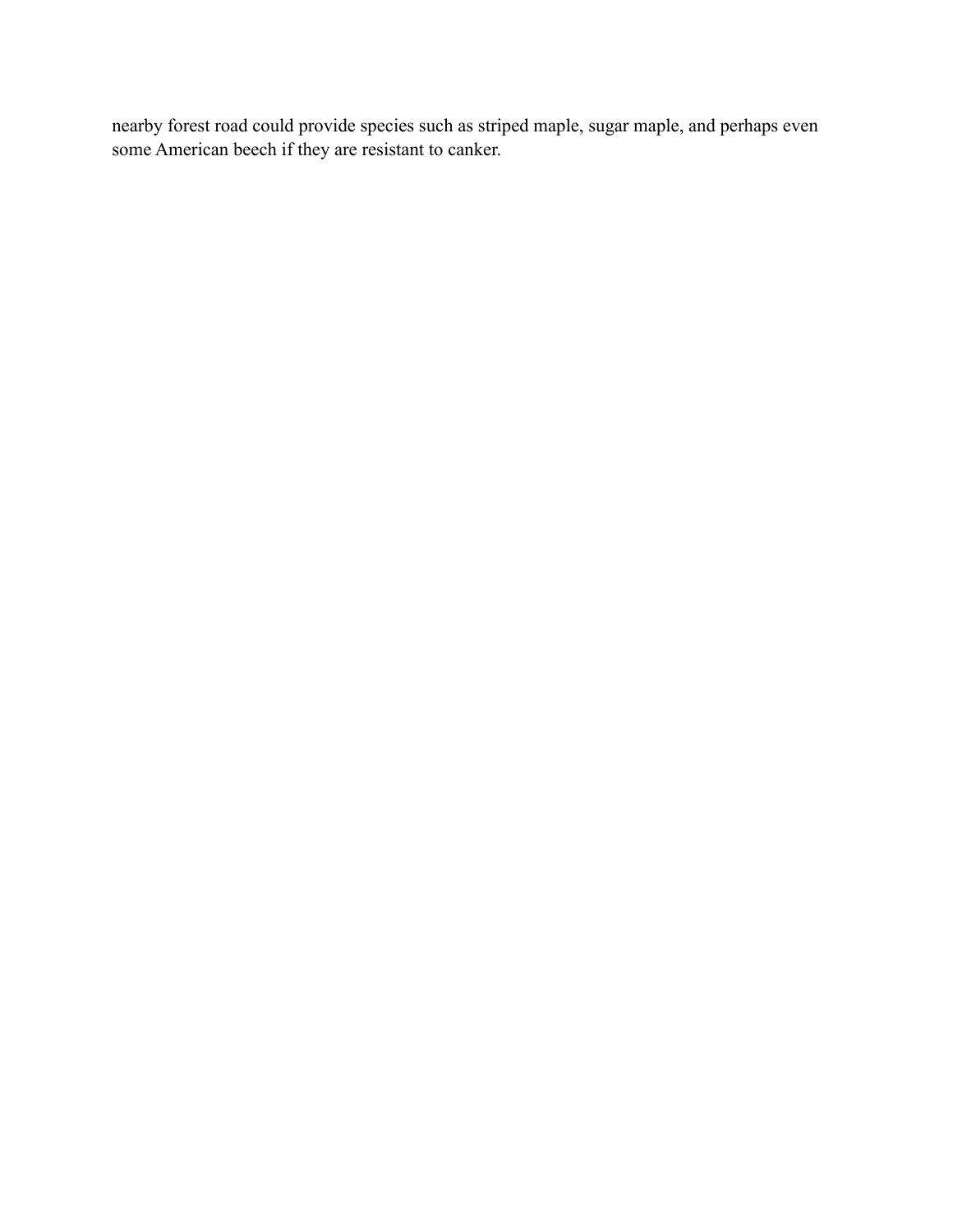nearby forest road could provide species such as striped maple, sugar maple, and perhaps even some American beech if they are resistant to canker.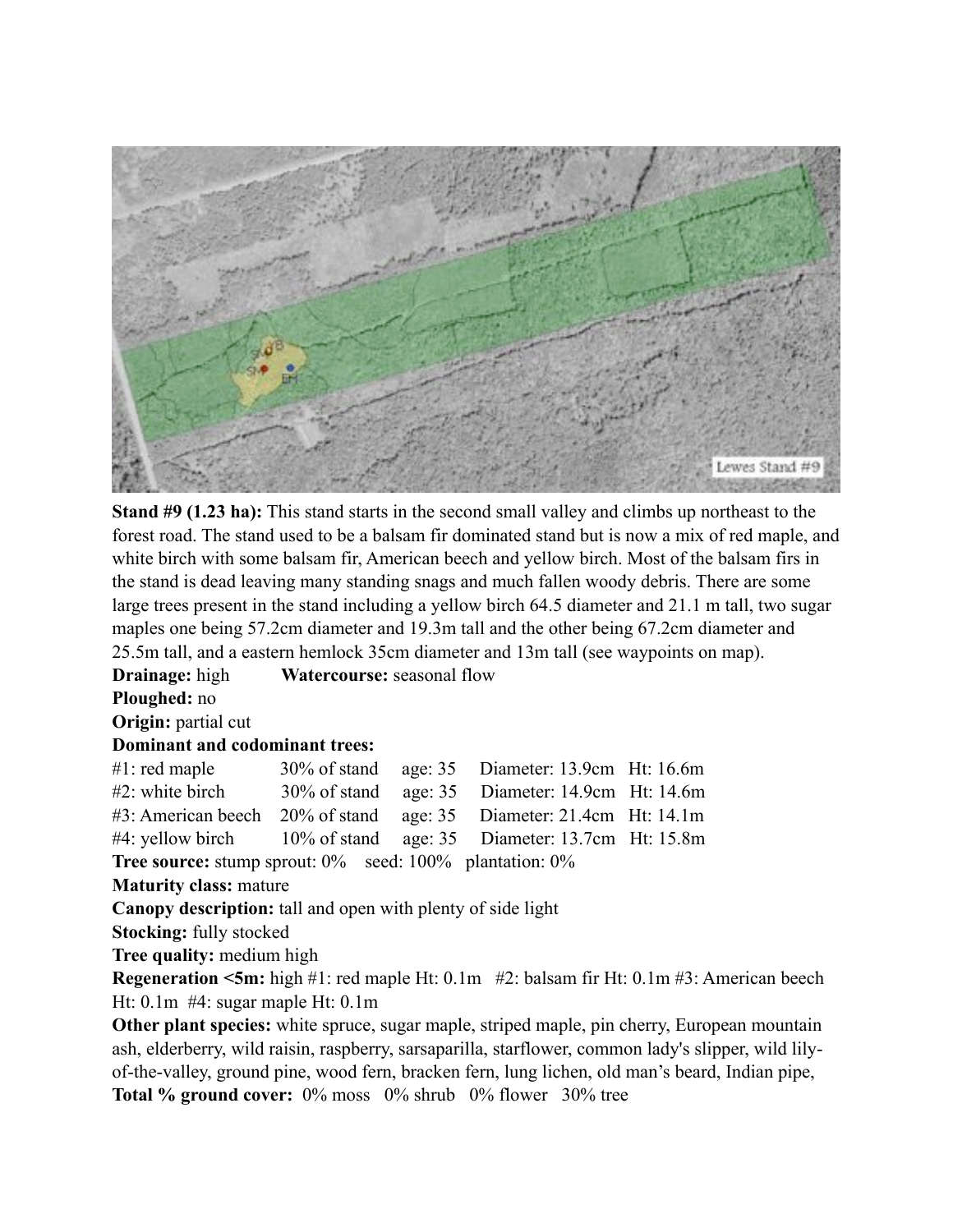

**Stand #9 (1.23 ha):** This stand starts in the second small valley and climbs up northeast to the forest road. The stand used to be a balsam fir dominated stand but is now a mix of red maple, and white birch with some balsam fir, American beech and yellow birch. Most of the balsam firs in the stand is dead leaving many standing snags and much fallen woody debris. There are some large trees present in the stand including a yellow birch 64.5 diameter and 21.1 m tall, two sugar maples one being 57.2cm diameter and 19.3m tall and the other being 67.2cm diameter and 25.5m tall, and a eastern hemlock 35cm diameter and 13m tall (see waypoints on map).

**Drainage:** high **Watercourse:** seasonal flow

**Ploughed:** no

**Origin:** partial cut

#### **Dominant and codominant trees:**

| $#1$ : red maple                                                   |  | 30% of stand age: 35 Diameter: 13.9cm Ht: 16.6m    |  |
|--------------------------------------------------------------------|--|----------------------------------------------------|--|
| $#2$ : white birch                                                 |  | 30% of stand age: 35 Diameter: 14.9cm Ht: 14.6m    |  |
| #3: American beech 20% of stand age: 35 Diameter: 21.4cm Ht: 14.1m |  |                                                    |  |
| $#4$ : yellow birch                                                |  | $10\%$ of stand age: 35 Diameter: 13.7cm Ht: 15.8m |  |
|                                                                    |  | $\sim$ 0.0 $\sim$ 1.1000 $\sim$ 1.1.000            |  |

**Tree source:** stump sprout:  $0\%$  seed:  $100\%$  plantation:  $0\%$ 

**Maturity class:** mature

**Canopy description:** tall and open with plenty of side light

**Stocking:** fully stocked

**Tree quality:** medium high

**Regeneration <5m:** high #1: red maple Ht: 0.1m #2: balsam fir Ht: 0.1m #3: American beech Ht: 0.1m #4: sugar maple Ht: 0.1m

**Other plant species:** white spruce, sugar maple, striped maple, pin cherry, European mountain ash, elderberry, wild raisin, raspberry, sarsaparilla, starflower, common lady's slipper, wild lilyof-the-valley, ground pine, wood fern, bracken fern, lung lichen, old man's beard, Indian pipe, **Total % ground cover:** 0% moss 0% shrub 0% flower 30% tree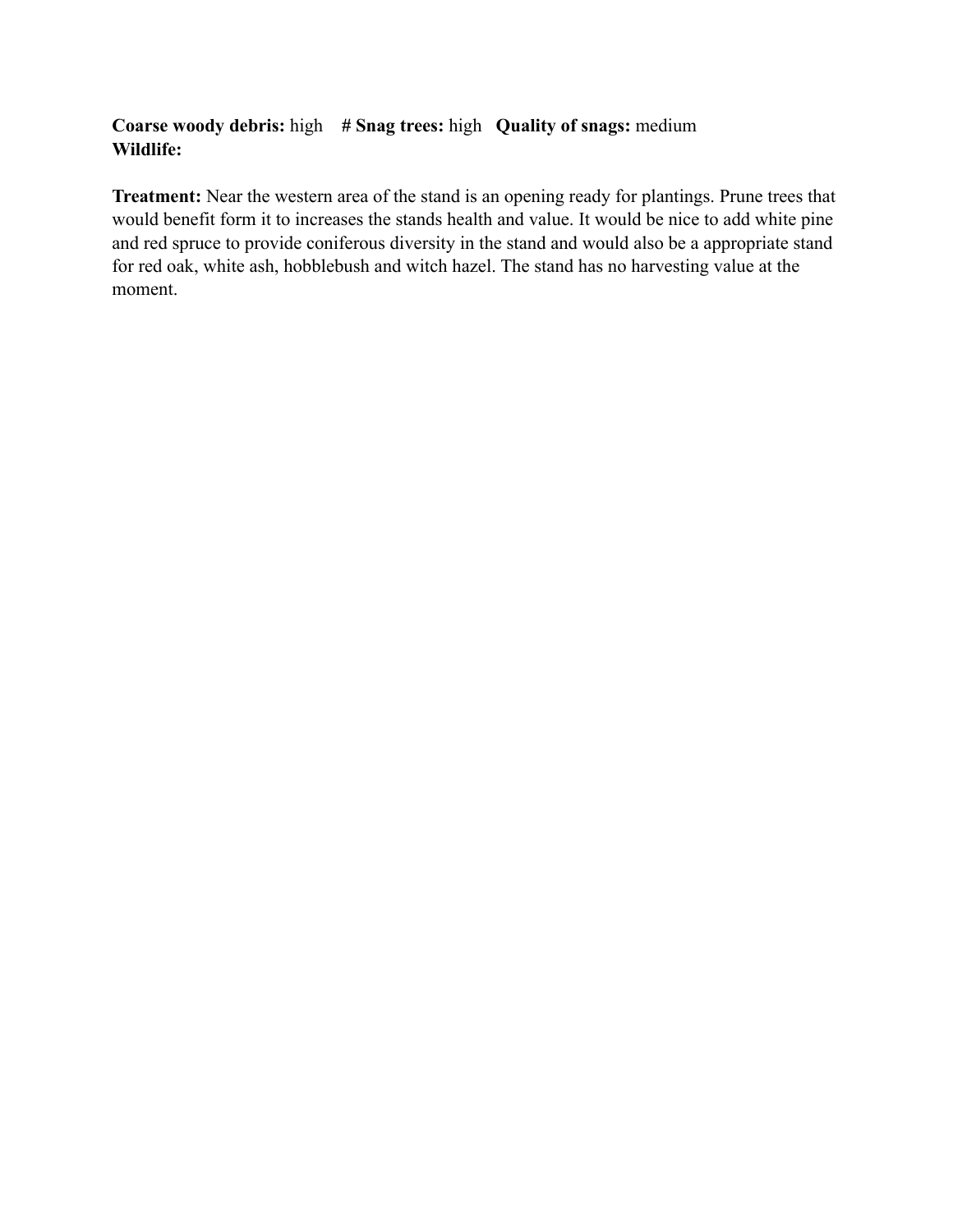### **Coarse woody debris:** high **# Snag trees:** high **Quality of snags:** medium **Wildlife:**

**Treatment:** Near the western area of the stand is an opening ready for plantings. Prune trees that would benefit form it to increases the stands health and value. It would be nice to add white pine and red spruce to provide coniferous diversity in the stand and would also be a appropriate stand for red oak, white ash, hobblebush and witch hazel. The stand has no harvesting value at the moment.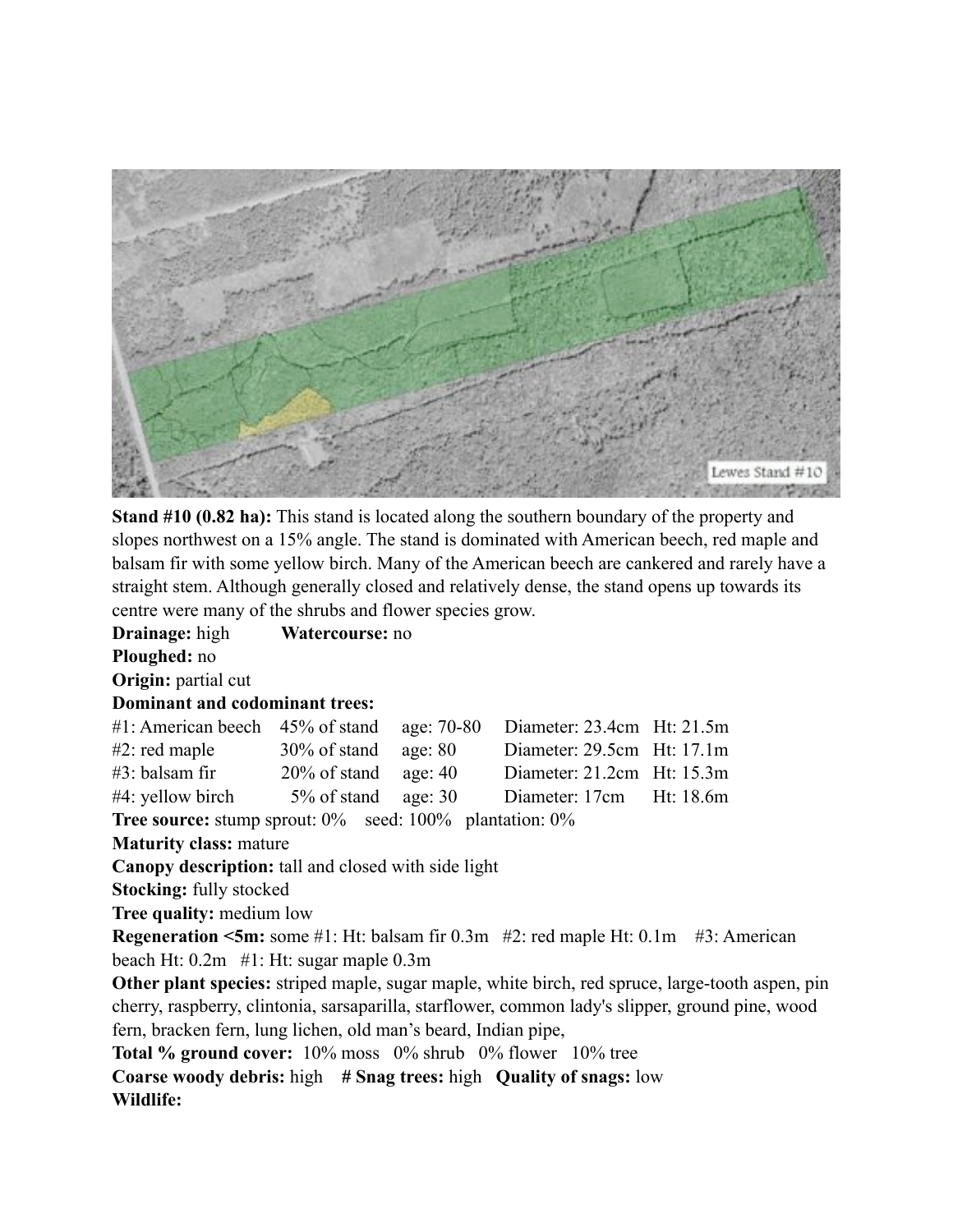

**Stand #10 (0.82 ha):** This stand is located along the southern boundary of the property and slopes northwest on a 15% angle. The stand is dominated with American beech, red maple and balsam fir with some yellow birch. Many of the American beech are cankered and rarely have a straight stem. Although generally closed and relatively dense, the stand opens up towards its centre were many of the shrubs and flower species grow.

**Drainage:** high **Watercourse:** no **Ploughed:** no **Origin:** partial cut **Dominant and codominant trees:** #1: American beech 45% of stand age: 70-80 Diameter: 23.4cm Ht: 21.5m #2: red maple 30% of stand age: 80 Diameter: 29.5cm Ht: 17.1m #3: balsam fir 20% of stand age: 40 Diameter: 21.2cm Ht: 15.3m #4: yellow birch 5% of stand age: 30 Diameter: 17cm Ht: 18.6m **Tree source:** stump sprout: 0% seed: 100% plantation: 0% **Maturity class:** mature **Canopy description:** tall and closed with side light **Stocking:** fully stocked **Tree quality:** medium low **Regeneration <5m:** some #1: Ht: balsam fir 0.3m #2: red maple Ht: 0.1m #3: American beach Ht: 0.2m #1: Ht: sugar maple 0.3m **Other plant species:** striped maple, sugar maple, white birch, red spruce, large-tooth aspen, pin cherry, raspberry, clintonia, sarsaparilla, starflower, common lady's slipper, ground pine, wood fern, bracken fern, lung lichen, old man's beard, Indian pipe, **Total % ground cover:** 10% moss 0% shrub 0% flower 10% tree **Coarse woody debris:** high **# Snag trees:** high **Quality of snags:** low

**Wildlife:**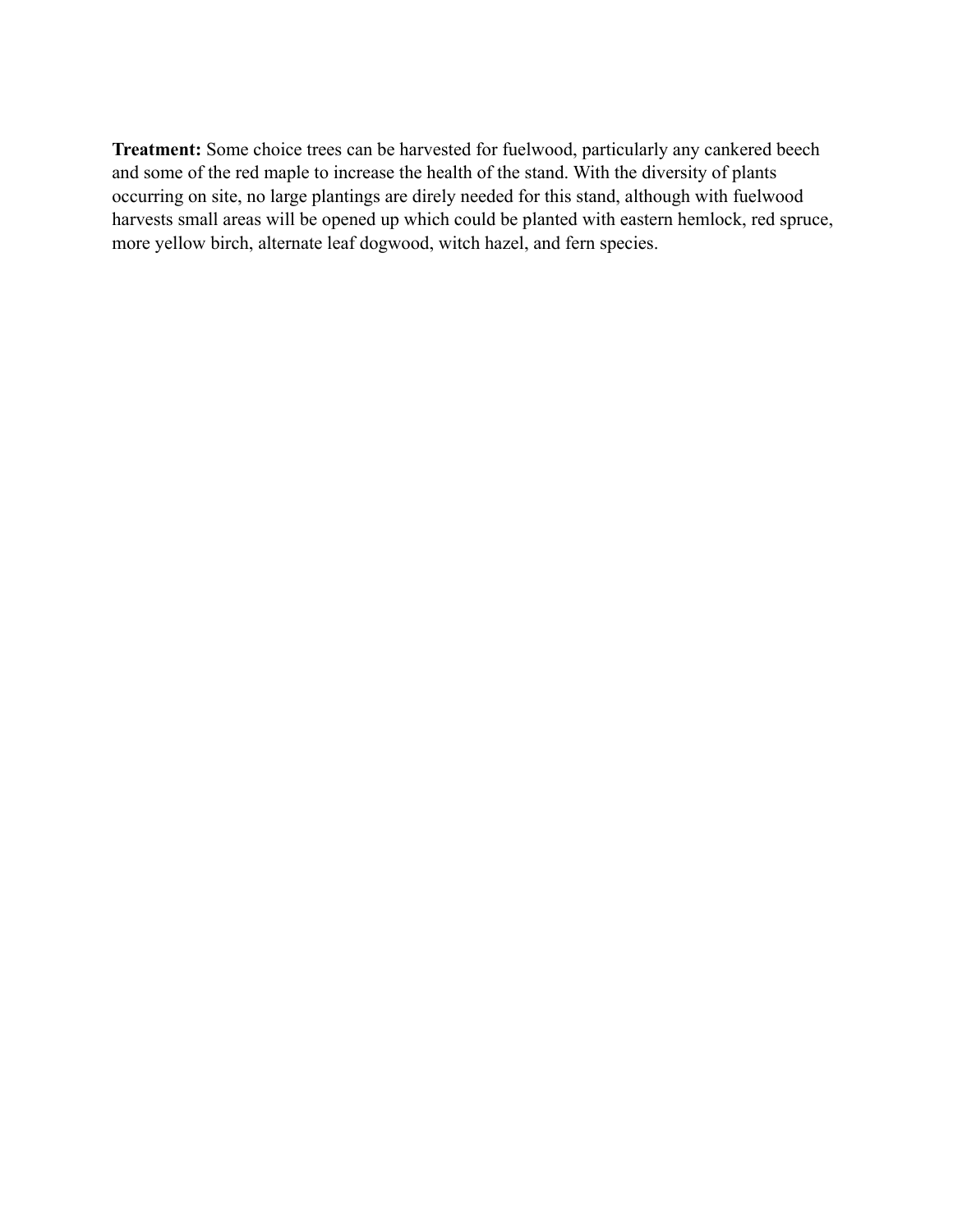**Treatment:** Some choice trees can be harvested for fuelwood, particularly any cankered beech and some of the red maple to increase the health of the stand. With the diversity of plants occurring on site, no large plantings are direly needed for this stand, although with fuelwood harvests small areas will be opened up which could be planted with eastern hemlock, red spruce, more yellow birch, alternate leaf dogwood, witch hazel, and fern species.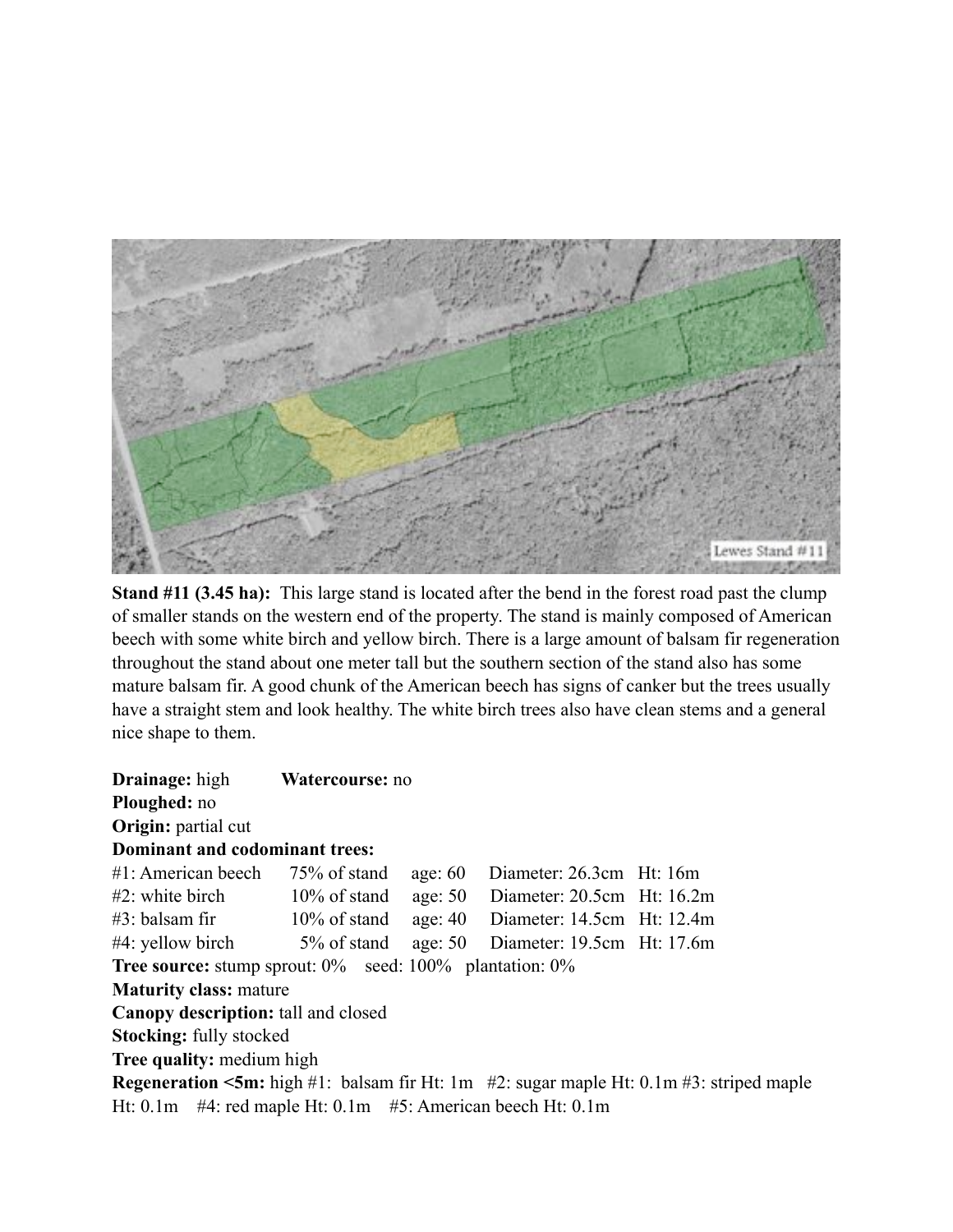

**Stand #11 (3.45 ha):** This large stand is located after the bend in the forest road past the clump of smaller stands on the western end of the property. The stand is mainly composed of American beech with some white birch and yellow birch. There is a large amount of balsam fir regeneration throughout the stand about one meter tall but the southern section of the stand also has some mature balsam fir. A good chunk of the American beech has signs of canker but the trees usually have a straight stem and look healthy. The white birch trees also have clean stems and a general nice shape to them.

| <b>Drainage:</b> high                                                   | Watercourse: no               |           |                                |                                                                                                      |  |  |  |
|-------------------------------------------------------------------------|-------------------------------|-----------|--------------------------------|------------------------------------------------------------------------------------------------------|--|--|--|
| Ploughed: no                                                            |                               |           |                                |                                                                                                      |  |  |  |
| <b>Origin:</b> partial cut                                              |                               |           |                                |                                                                                                      |  |  |  |
| Dominant and codominant trees:                                          |                               |           |                                |                                                                                                      |  |  |  |
| $#1$ : American beech 75% of stand                                      |                               | age: $60$ | Diameter: 26.3cm Ht: 16m       |                                                                                                      |  |  |  |
| $#2$ : white birch $10\%$ of stand                                      |                               | age: $50$ | Diameter: $20.5cm$ Ht: $16.2m$ |                                                                                                      |  |  |  |
| $#3$ : balsam fir $10\%$ of stand                                       |                               | age: $40$ | Diameter: 14.5cm Ht: 12.4m     |                                                                                                      |  |  |  |
| $#4$ : yellow birch $5\%$ of stand                                      |                               | age: $50$ | Diameter: 19.5cm Ht: 17.6m     |                                                                                                      |  |  |  |
| <b>Tree source:</b> stump sprout: $0\%$ seed: $100\%$ plantation: $0\%$ |                               |           |                                |                                                                                                      |  |  |  |
|                                                                         | <b>Maturity class: mature</b> |           |                                |                                                                                                      |  |  |  |
| Canopy description: tall and closed                                     |                               |           |                                |                                                                                                      |  |  |  |
| <b>Stocking:</b> fully stocked                                          |                               |           |                                |                                                                                                      |  |  |  |
| <b>Tree quality:</b> medium high                                        |                               |           |                                |                                                                                                      |  |  |  |
|                                                                         |                               |           |                                | <b>Regeneration &lt;5m:</b> high #1: balsam fir Ht: 1m $#2$ : sugar maple Ht: 0.1m #3: striped maple |  |  |  |
| Ht: $0.1m$ #4: red maple Ht: $0.1m$ #5: American beech Ht: $0.1m$       |                               |           |                                |                                                                                                      |  |  |  |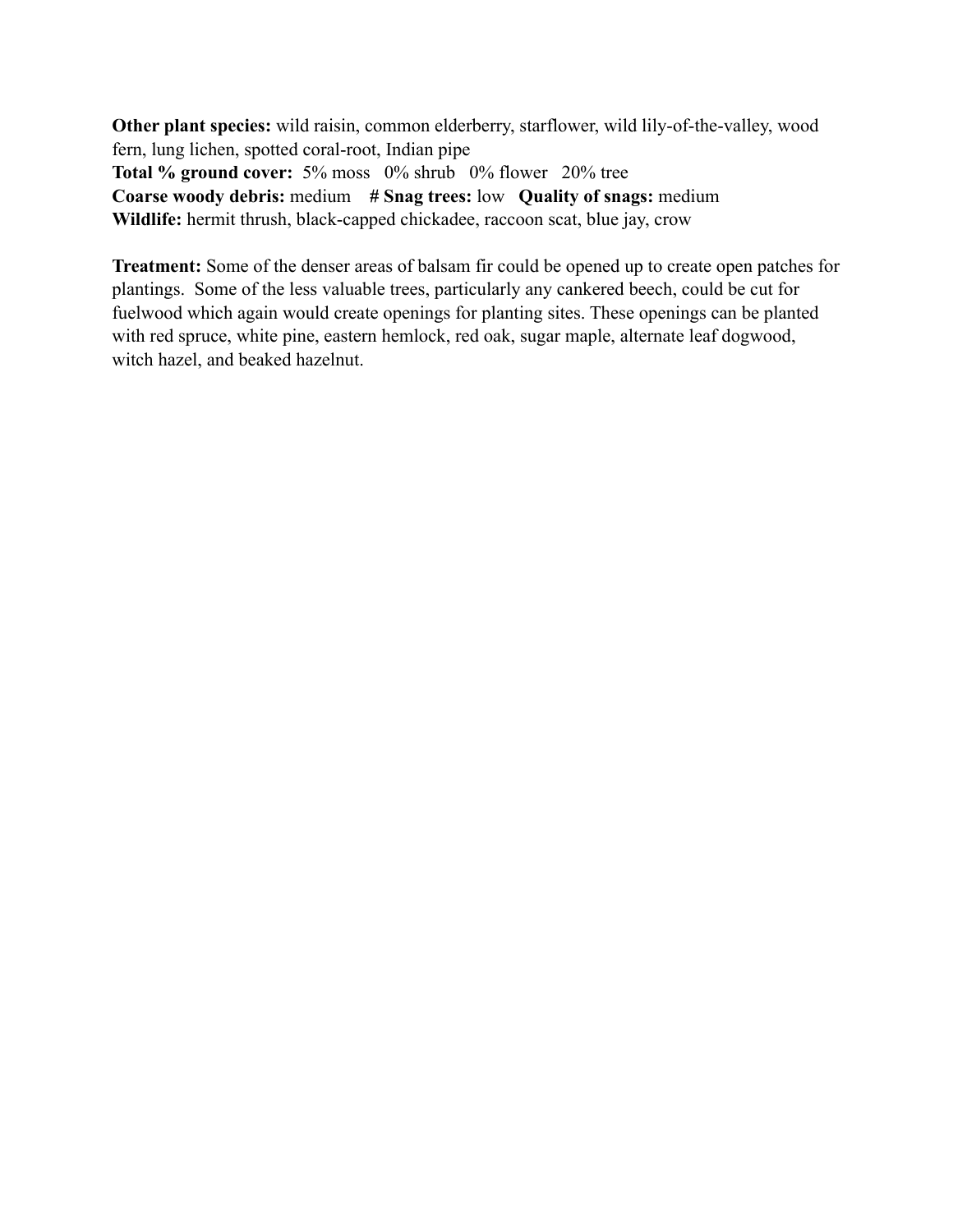**Other plant species:** wild raisin, common elderberry, starflower, wild lily-of-the-valley, wood fern, lung lichen, spotted coral-root, Indian pipe **Total % ground cover:** 5% moss 0% shrub 0% flower 20% tree **Coarse woody debris:** medium **# Snag trees:** low **Quality of snags:** medium Wildlife: hermit thrush, black-capped chickadee, raccoon scat, blue jay, crow

**Treatment:** Some of the denser areas of balsam fir could be opened up to create open patches for plantings. Some of the less valuable trees, particularly any cankered beech, could be cut for fuelwood which again would create openings for planting sites. These openings can be planted with red spruce, white pine, eastern hemlock, red oak, sugar maple, alternate leaf dogwood, witch hazel, and beaked hazelnut.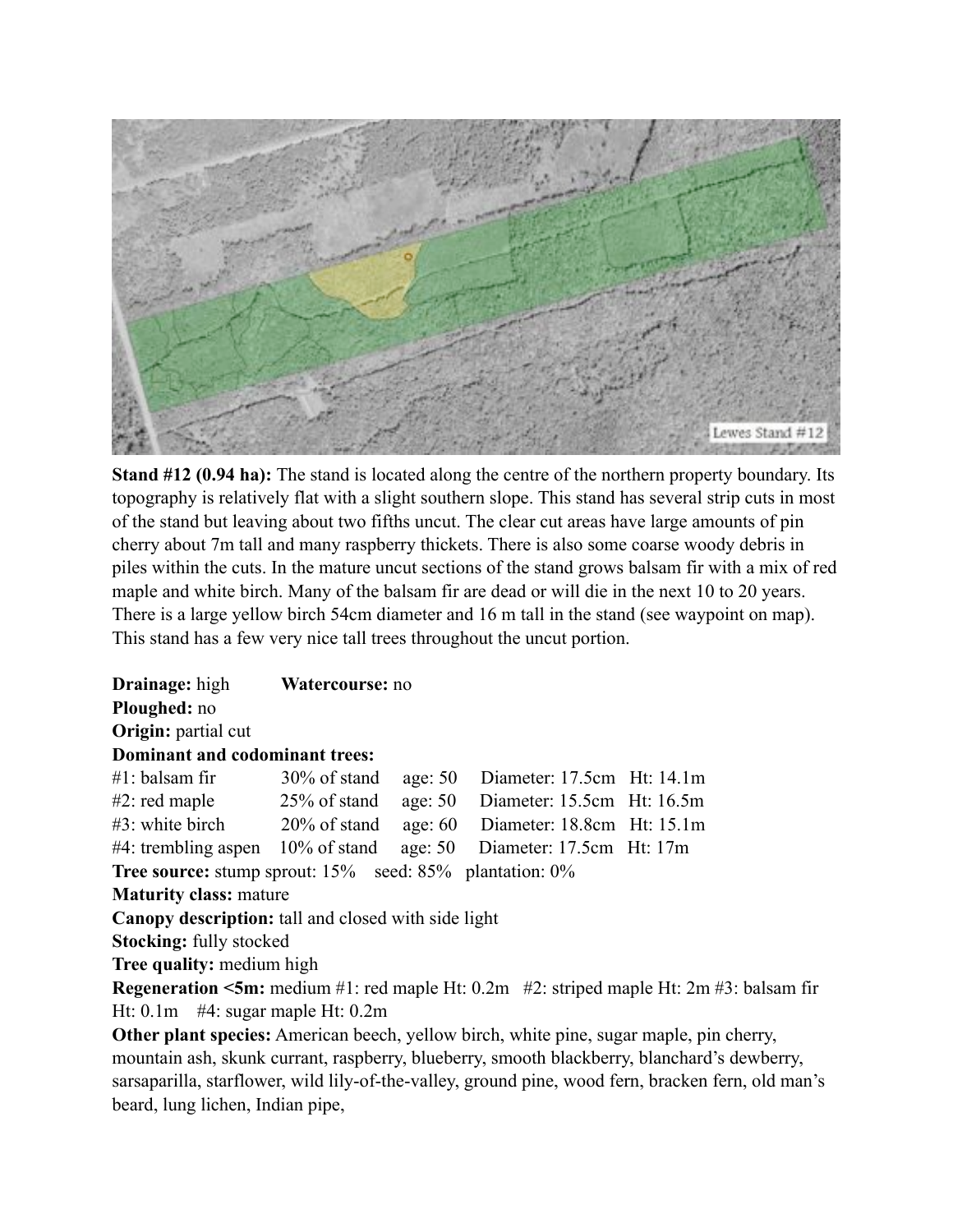

**Stand #12 (0.94 ha):** The stand is located along the centre of the northern property boundary. Its topography is relatively flat with a slight southern slope. This stand has several strip cuts in most of the stand but leaving about two fifths uncut. The clear cut areas have large amounts of pin cherry about 7m tall and many raspberry thickets. There is also some coarse woody debris in piles within the cuts. In the mature uncut sections of the stand grows balsam fir with a mix of red maple and white birch. Many of the balsam fir are dead or will die in the next 10 to 20 years. There is a large yellow birch 54cm diameter and 16 m tall in the stand (see waypoint on map). This stand has a few very nice tall trees throughout the uncut portion.

**Drainage:** high **Watercourse:** no **Ploughed:** no **Origin:** partial cut **Dominant and codominant trees:** #1: balsam fir 30% of stand age: 50 Diameter: 17.5cm Ht: 14.1m #2: red maple 25% of stand age: 50 Diameter: 15.5cm Ht: 16.5m #3: white birch 20% of stand age: 60 Diameter: 18.8cm Ht: 15.1m #4: trembling aspen 10% of stand age: 50 Diameter: 17.5cm Ht: 17m **Tree source:** stump sprout: 15% seed: 85% plantation: 0% **Maturity class:** mature **Canopy description:** tall and closed with side light **Stocking:** fully stocked **Tree quality:** medium high **Regeneration <5m:** medium #1: red maple Ht: 0.2m #2: striped maple Ht: 2m #3: balsam fir Ht: 0.1m #4: sugar maple Ht: 0.2m **Other plant species:** American beech, yellow birch, white pine, sugar maple, pin cherry, mountain ash, skunk currant, raspberry, blueberry, smooth blackberry, blanchard's dewberry,

sarsaparilla, starflower, wild lily-of-the-valley, ground pine, wood fern, bracken fern, old man's beard, lung lichen, Indian pipe,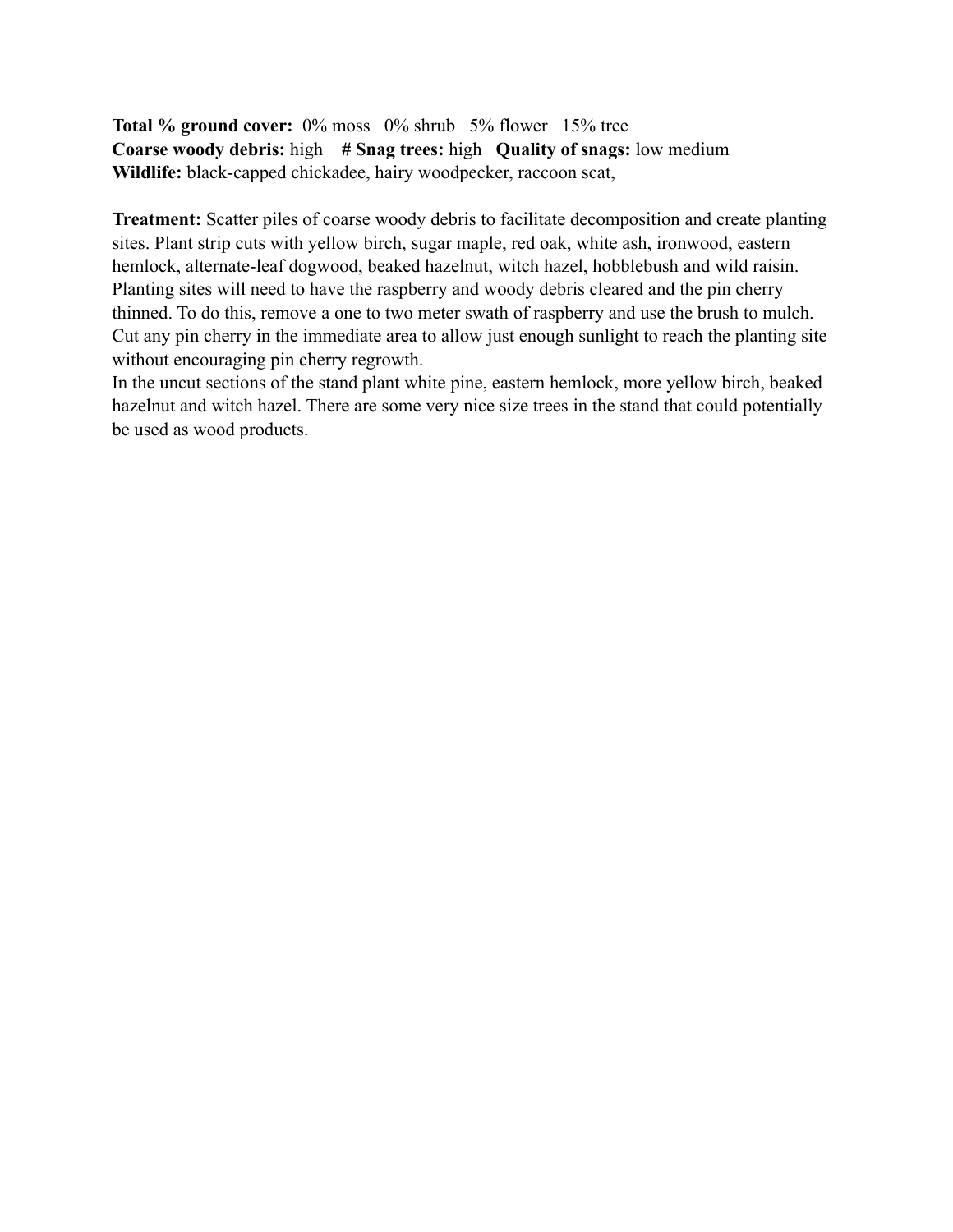**Total % ground cover:** 0% moss 0% shrub 5% flower 15% tree **Coarse woody debris:** high **# Snag trees:** high **Quality of snags:** low medium **Wildlife:** black-capped chickadee, hairy woodpecker, raccoon scat,

**Treatment:** Scatter piles of coarse woody debris to facilitate decomposition and create planting sites. Plant strip cuts with yellow birch, sugar maple, red oak, white ash, ironwood, eastern hemlock, alternate-leaf dogwood, beaked hazelnut, witch hazel, hobblebush and wild raisin. Planting sites will need to have the raspberry and woody debris cleared and the pin cherry thinned. To do this, remove a one to two meter swath of raspberry and use the brush to mulch. Cut any pin cherry in the immediate area to allow just enough sunlight to reach the planting site without encouraging pin cherry regrowth.

In the uncut sections of the stand plant white pine, eastern hemlock, more yellow birch, beaked hazelnut and witch hazel. There are some very nice size trees in the stand that could potentially be used as wood products.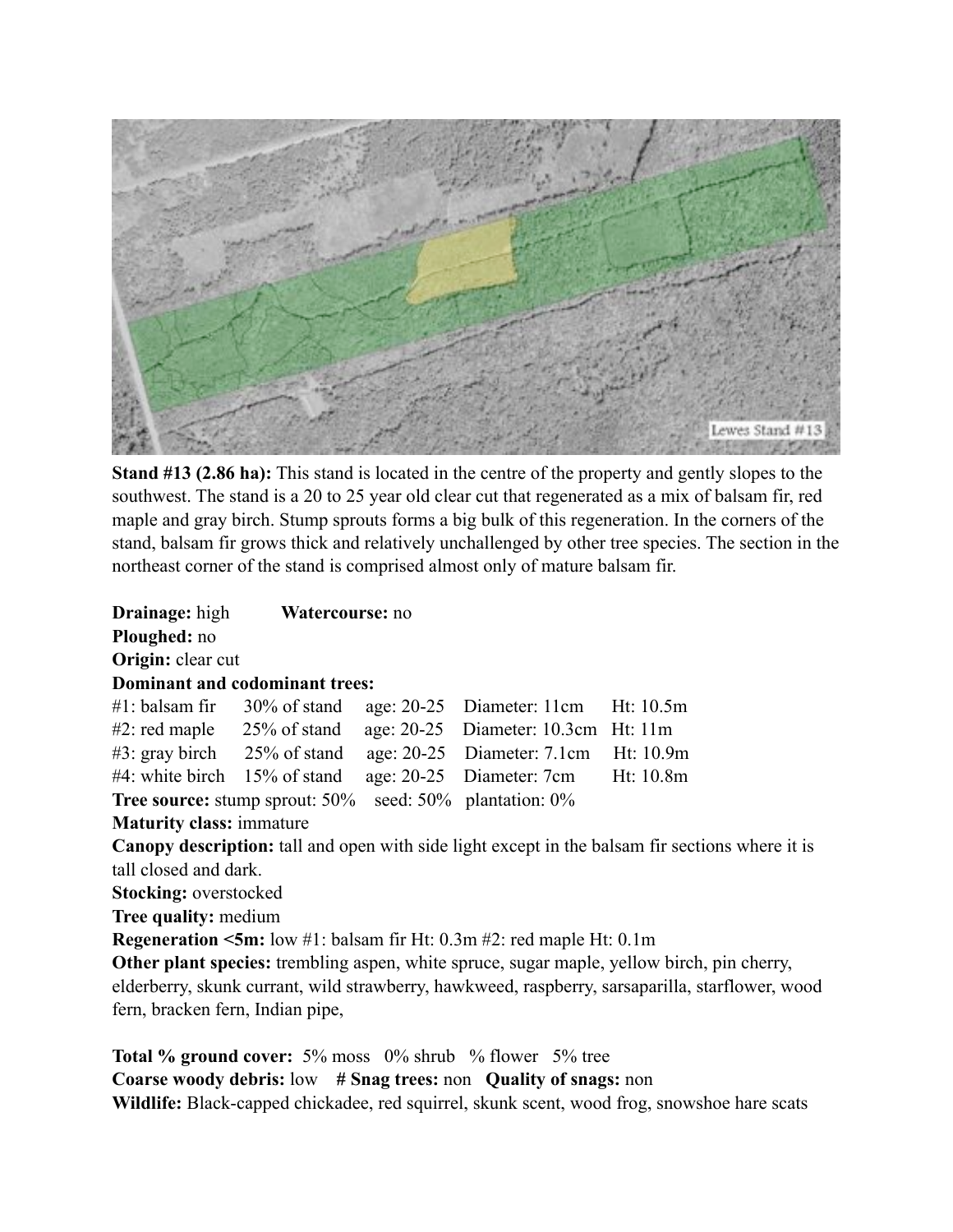

**Stand #13 (2.86 ha):** This stand is located in the centre of the property and gently slopes to the southwest. The stand is a 20 to 25 year old clear cut that regenerated as a mix of balsam fir, red maple and gray birch. Stump sprouts forms a big bulk of this regeneration. In the corners of the stand, balsam fir grows thick and relatively unchallenged by other tree species. The section in the northeast corner of the stand is comprised almost only of mature balsam fir.

**Drainage:** high **Watercourse:** no **Ploughed:** no **Origin:** clear cut **Dominant and codominant trees:**  $\#1$ : balsam fir 30% of stand age: 20-25 Diameter: 11cm Ht: 10.5m #2: red maple 25% of stand age: 20-25 Diameter: 10.3cm Ht: 11m #3: gray birch 25% of stand age: 20-25 Diameter: 7.1cm Ht: 10.9m #4: white birch 15% of stand age: 20-25 Diameter: 7cm Ht: 10.8m **Tree source:** stump sprout: 50% seed: 50% plantation: 0% **Maturity class:** immature **Canopy description:** tall and open with side light except in the balsam fir sections where it is tall closed and dark. **Stocking:** overstocked **Tree quality:** medium **Regeneration <5m:** low #1: balsam fir Ht: 0.3m #2: red maple Ht: 0.1m **Other plant species:** trembling aspen, white spruce, sugar maple, yellow birch, pin cherry, elderberry, skunk currant, wild strawberry, hawkweed, raspberry, sarsaparilla, starflower, wood fern, bracken fern, Indian pipe,

**Total % ground cover:** 5% moss 0% shrub % flower 5% tree **Coarse woody debris:** low **# Snag trees:** non **Quality of snags:** non **Wildlife:** Black-capped chickadee, red squirrel, skunk scent, wood frog, snowshoe hare scats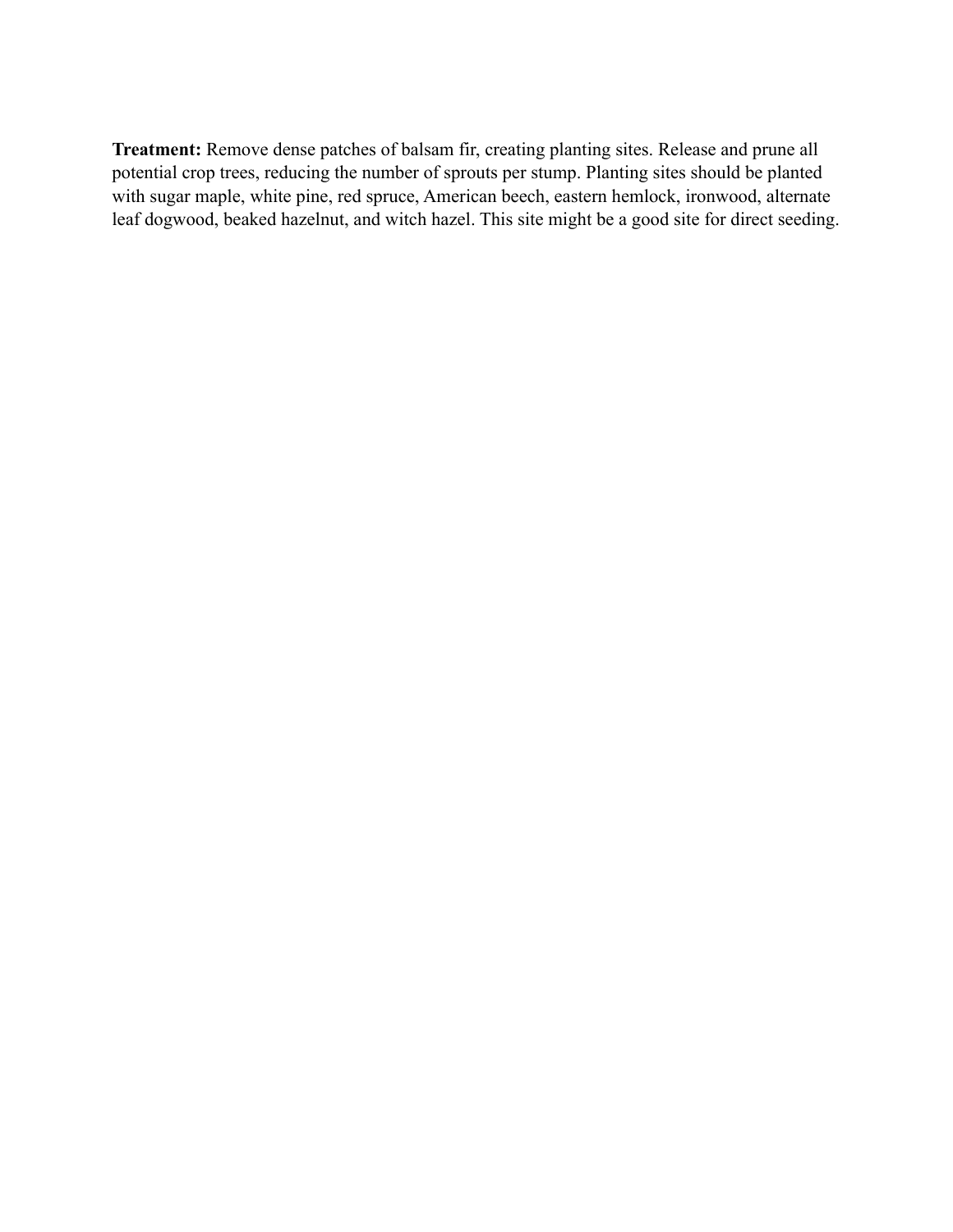**Treatment:** Remove dense patches of balsam fir, creating planting sites. Release and prune all potential crop trees, reducing the number of sprouts per stump. Planting sites should be planted with sugar maple, white pine, red spruce, American beech, eastern hemlock, ironwood, alternate leaf dogwood, beaked hazelnut, and witch hazel. This site might be a good site for direct seeding.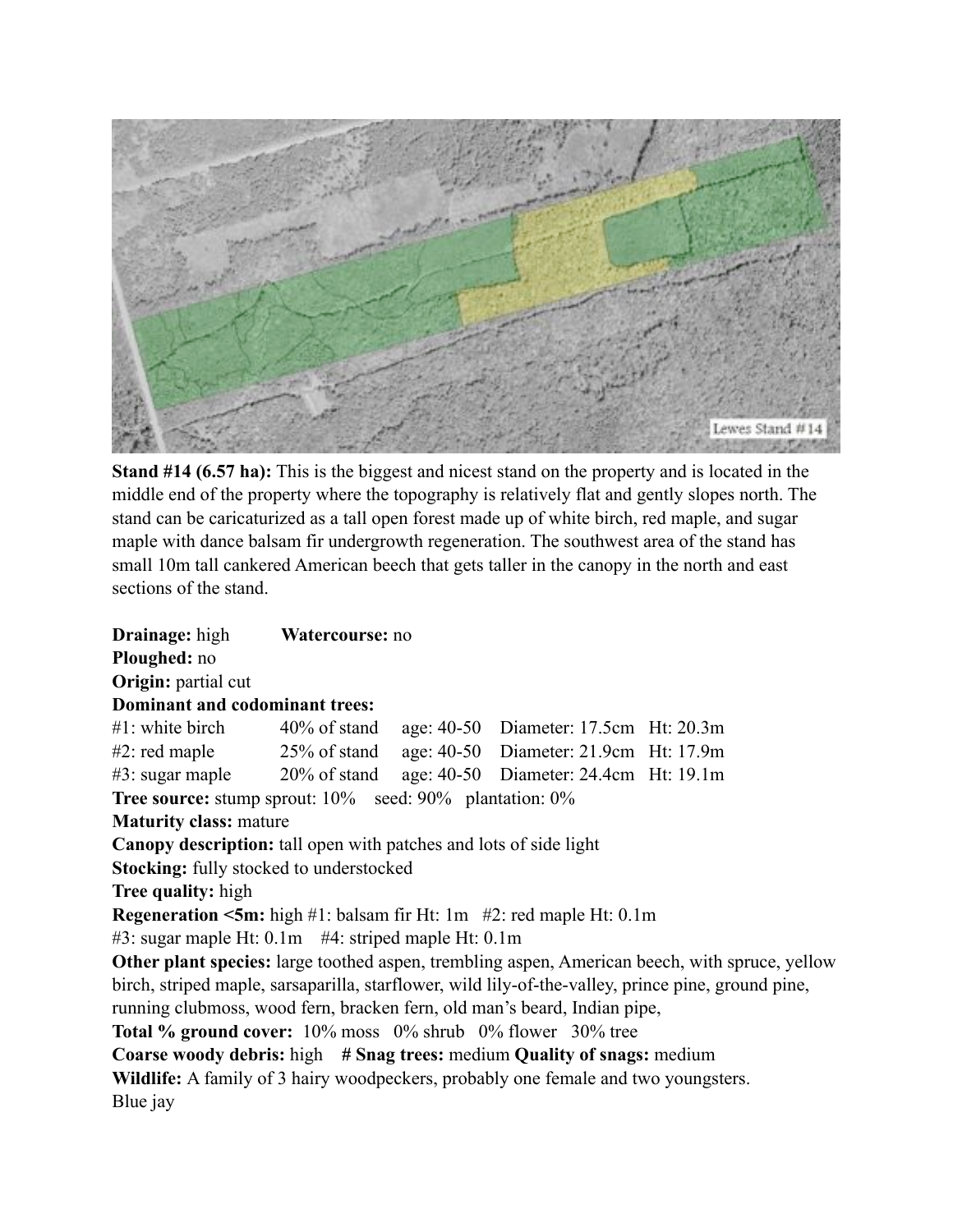

**Stand #14 (6.57 ha):** This is the biggest and nicest stand on the property and is located in the middle end of the property where the topography is relatively flat and gently slopes north. The stand can be caricaturized as a tall open forest made up of white birch, red maple, and sugar maple with dance balsam fir undergrowth regeneration. The southwest area of the stand has small 10m tall cankered American beech that gets taller in the canopy in the north and east sections of the stand.

| <b>Drainage:</b> high                                                                                                                                                                                                                                                                                                      | Watercourse: no |  |                                                                                                                                                                                                             |
|----------------------------------------------------------------------------------------------------------------------------------------------------------------------------------------------------------------------------------------------------------------------------------------------------------------------------|-----------------|--|-------------------------------------------------------------------------------------------------------------------------------------------------------------------------------------------------------------|
| Ploughed: no                                                                                                                                                                                                                                                                                                               |                 |  |                                                                                                                                                                                                             |
| Origin: partial cut                                                                                                                                                                                                                                                                                                        |                 |  |                                                                                                                                                                                                             |
| Dominant and codominant trees:                                                                                                                                                                                                                                                                                             |                 |  |                                                                                                                                                                                                             |
| $\#1$ : white birch $40\%$ of stand age: 40-50 Diameter: 17.5cm Ht: 20.3m                                                                                                                                                                                                                                                  |                 |  |                                                                                                                                                                                                             |
| $\#2$ : red maple 25% of stand age: 40-50 Diameter: 21.9cm Ht: 17.9m                                                                                                                                                                                                                                                       |                 |  |                                                                                                                                                                                                             |
| $\#3$ : sugar maple 20% of stand age: 40-50 Diameter: 24.4cm Ht: 19.1m                                                                                                                                                                                                                                                     |                 |  |                                                                                                                                                                                                             |
| <b>Tree source:</b> stump sprout: 10% seed: 90% plantation: 0%                                                                                                                                                                                                                                                             |                 |  |                                                                                                                                                                                                             |
| <b>Maturity class: mature</b>                                                                                                                                                                                                                                                                                              |                 |  |                                                                                                                                                                                                             |
| <b>Canopy description:</b> tall open with patches and lots of side light                                                                                                                                                                                                                                                   |                 |  |                                                                                                                                                                                                             |
| <b>Stocking:</b> fully stocked to understocked                                                                                                                                                                                                                                                                             |                 |  |                                                                                                                                                                                                             |
| Tree quality: high                                                                                                                                                                                                                                                                                                         |                 |  |                                                                                                                                                                                                             |
| <b>Regeneration &lt;5m:</b> high #1: balsam fir Ht: 1m $#2$ : red maple Ht: 0.1m                                                                                                                                                                                                                                           |                 |  |                                                                                                                                                                                                             |
| $#3$ : sugar maple Ht: 0.1m $#4$ : striped maple Ht: 0.1m                                                                                                                                                                                                                                                                  |                 |  |                                                                                                                                                                                                             |
| running clubmoss, wood fern, bracken fern, old man's beard, Indian pipe,<br><b>Total % ground cover:</b> 10% moss 0% shrub 0% flower 30% tree<br>Coarse woody debris: high # Snag trees: medium Quality of snags: medium<br>Wildlife: A family of 3 hairy woodpeckers, probably one female and two youngsters.<br>Blue jay |                 |  | <b>Other plant species:</b> large toothed aspen, trembling aspen, American beech, with spruce, yellow<br>birch, striped maple, sarsaparilla, starflower, wild lily-of-the-valley, prince pine, ground pine, |
|                                                                                                                                                                                                                                                                                                                            |                 |  |                                                                                                                                                                                                             |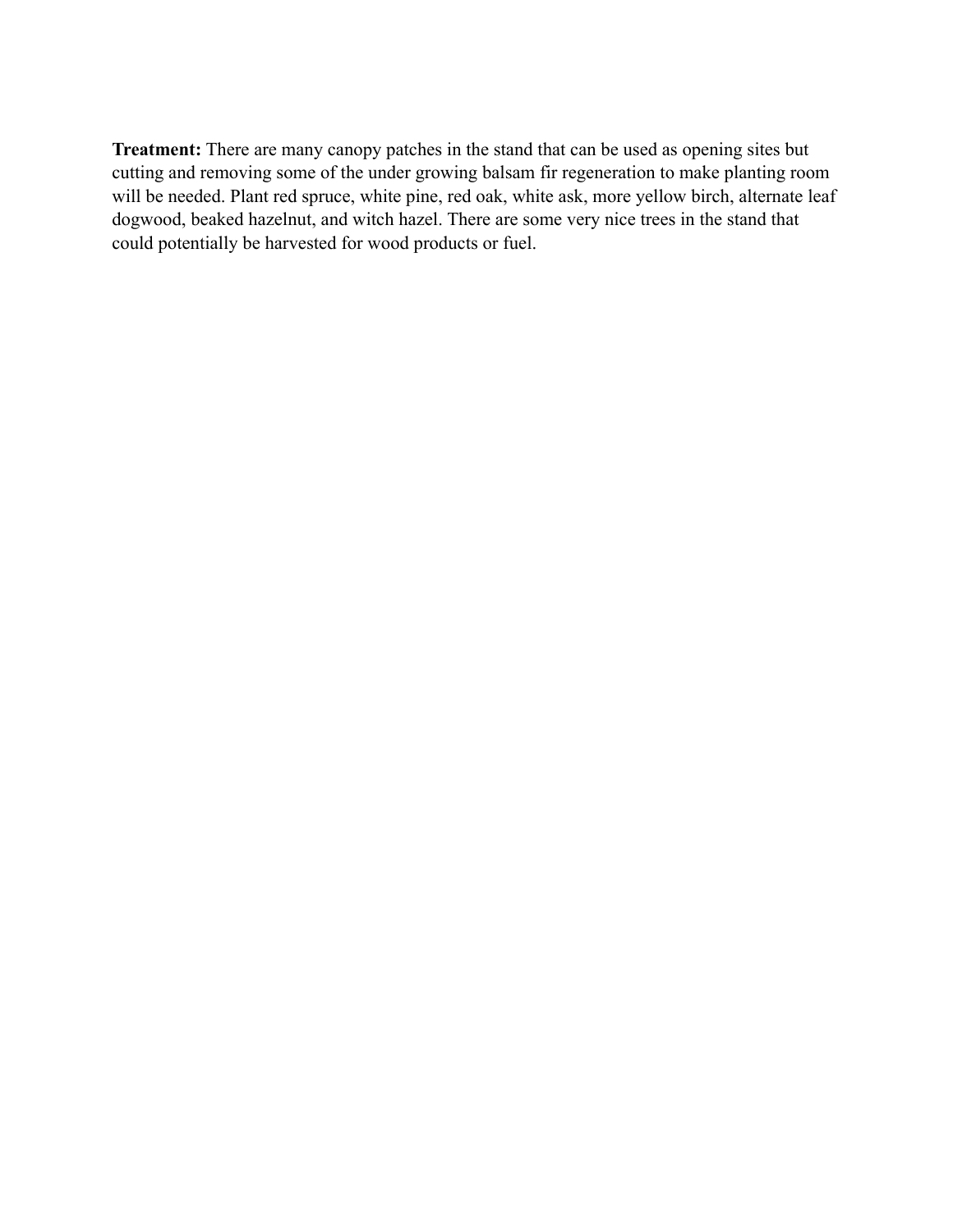**Treatment:** There are many canopy patches in the stand that can be used as opening sites but cutting and removing some of the under growing balsam fir regeneration to make planting room will be needed. Plant red spruce, white pine, red oak, white ask, more yellow birch, alternate leaf dogwood, beaked hazelnut, and witch hazel. There are some very nice trees in the stand that could potentially be harvested for wood products or fuel.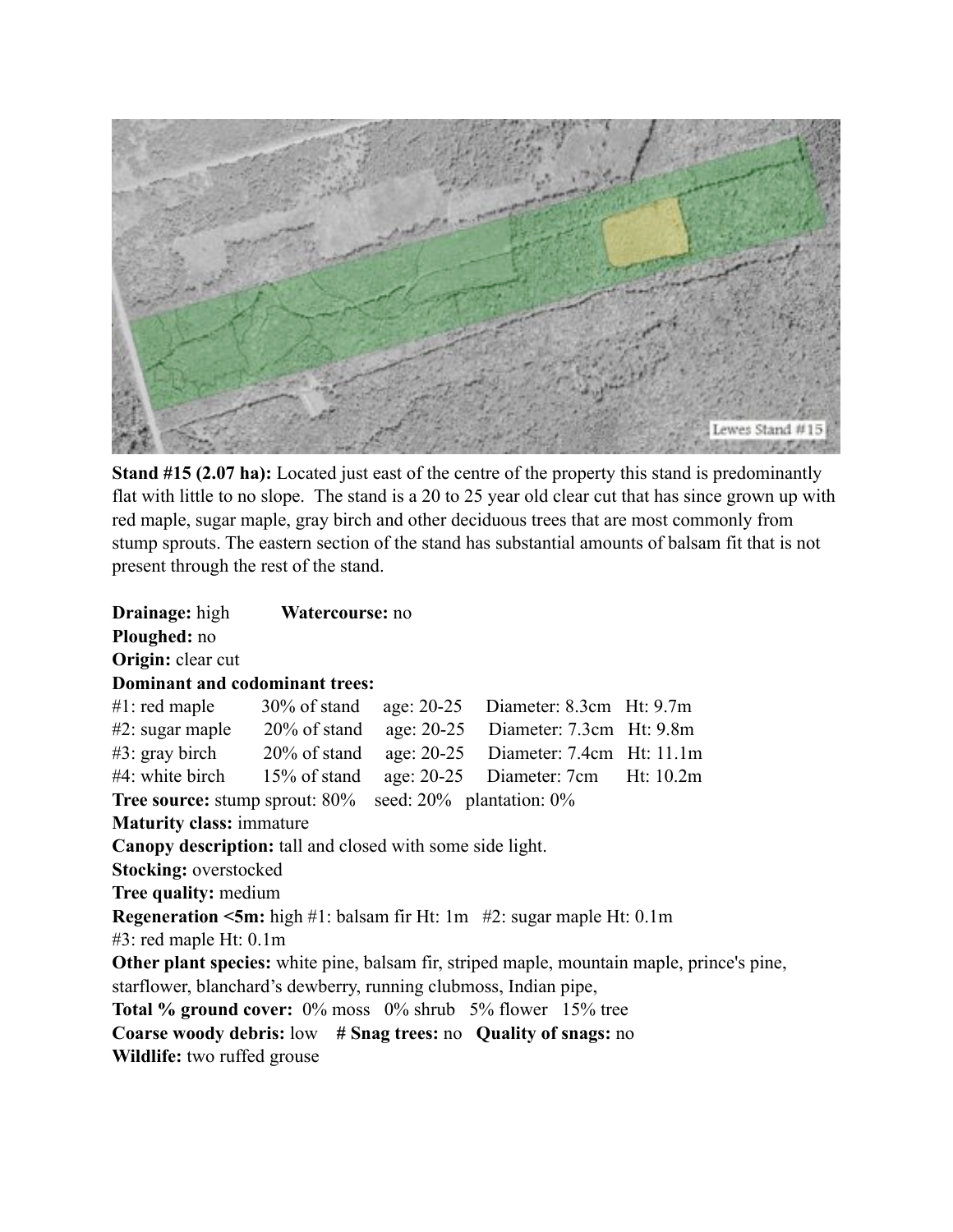

**Stand #15 (2.07 ha):** Located just east of the centre of the property this stand is predominantly flat with little to no slope. The stand is a 20 to 25 year old clear cut that has since grown up with red maple, sugar maple, gray birch and other deciduous trees that are most commonly from stump sprouts. The eastern section of the stand has substantial amounts of balsam fit that is not present through the rest of the stand.

**Drainage:** high **Watercourse:** no **Ploughed:** no **Origin:** clear cut **Dominant and codominant trees:** #1: red maple 30% of stand age: 20-25 Diameter: 8.3cm Ht: 9.7m #2: sugar maple 20% of stand age: 20-25 Diameter: 7.3cm Ht: 9.8m #3: gray birch 20% of stand age: 20-25 Diameter: 7.4cm Ht: 11.1m #4: white birch 15% of stand age: 20-25 Diameter: 7cm Ht: 10.2m **Tree source:** stump sprout: 80% seed: 20% plantation: 0% **Maturity class:** immature **Canopy description:** tall and closed with some side light. **Stocking:** overstocked **Tree quality:** medium **Regeneration <5m:** high #1: balsam fir Ht: 1m #2: sugar maple Ht: 0.1m #3: red maple Ht: 0.1m **Other plant species:** white pine, balsam fir, striped maple, mountain maple, prince's pine, starflower, blanchard's dewberry, running clubmoss, Indian pipe, **Total % ground cover:** 0% moss 0% shrub 5% flower 15% tree **Coarse woody debris:** low **# Snag trees:** no **Quality of snags:** no **Wildlife:** two ruffed grouse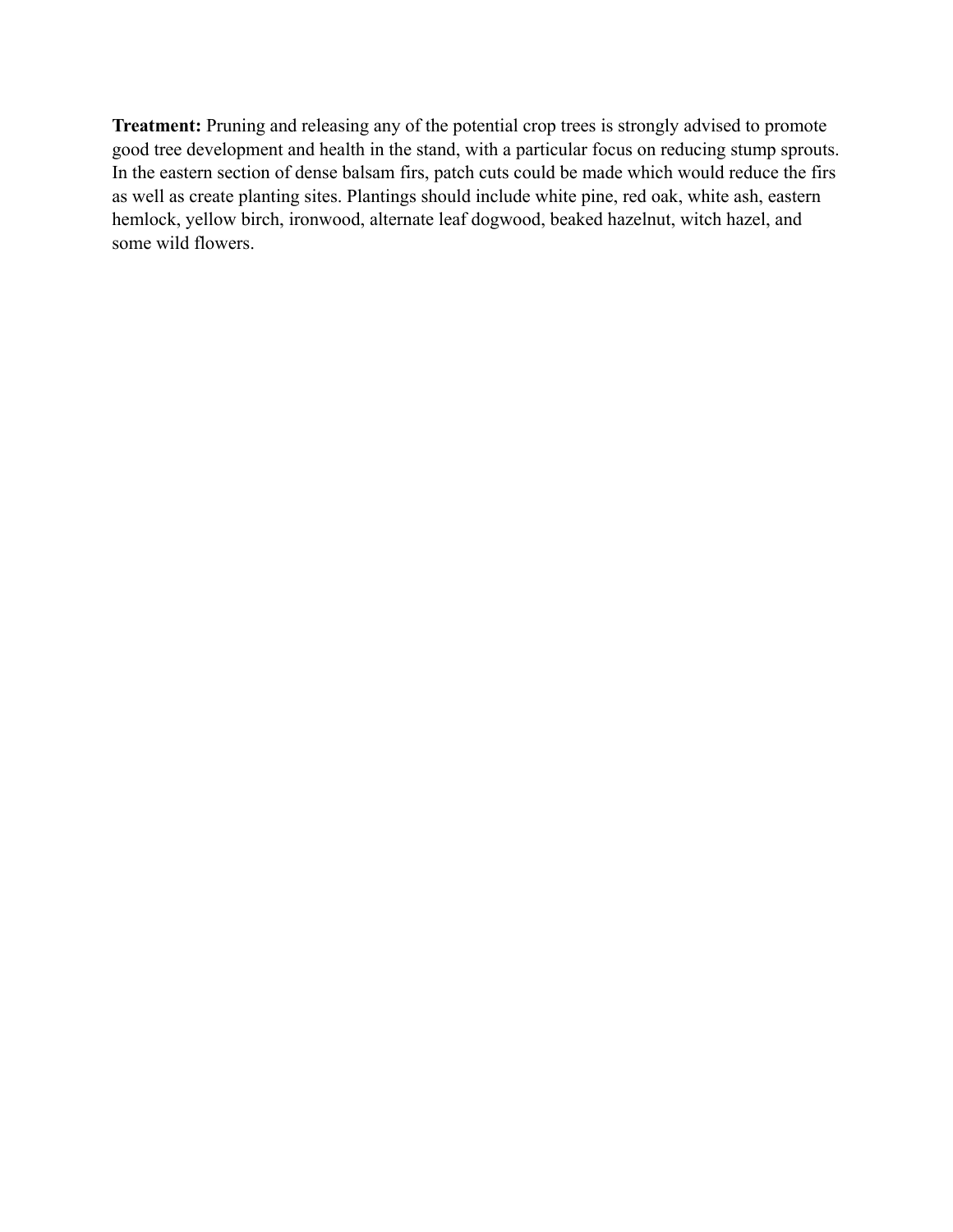**Treatment:** Pruning and releasing any of the potential crop trees is strongly advised to promote good tree development and health in the stand, with a particular focus on reducing stump sprouts. In the eastern section of dense balsam firs, patch cuts could be made which would reduce the firs as well as create planting sites. Plantings should include white pine, red oak, white ash, eastern hemlock, yellow birch, ironwood, alternate leaf dogwood, beaked hazelnut, witch hazel, and some wild flowers.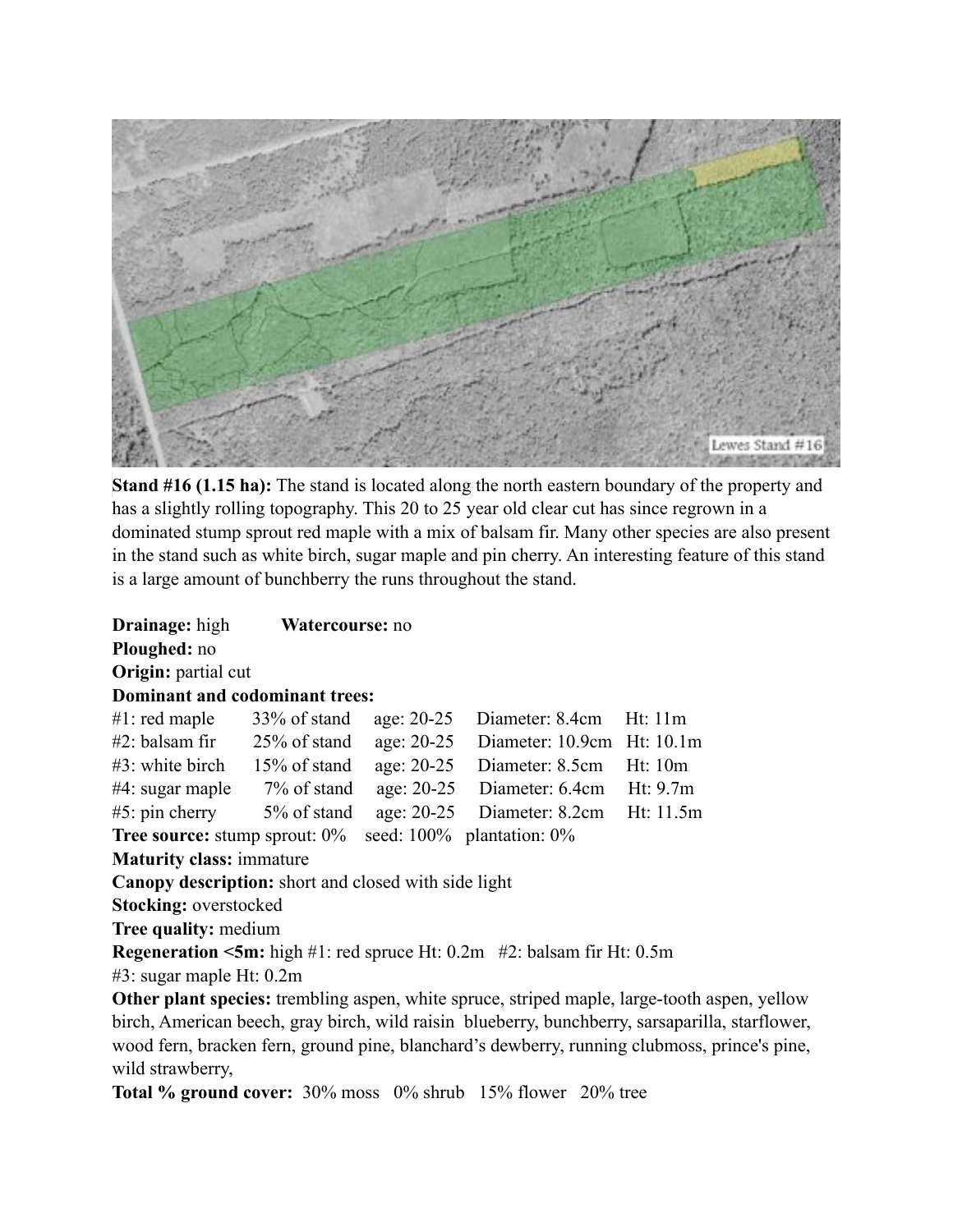

**Stand #16 (1.15 ha):** The stand is located along the north eastern boundary of the property and has a slightly rolling topography. This 20 to 25 year old clear cut has since regrown in a dominated stump sprout red maple with a mix of balsam fir. Many other species are also present in the stand such as white birch, sugar maple and pin cherry. An interesting feature of this stand is a large amount of bunchberry the runs throughout the stand.

**Drainage:** high **Watercourse:** no **Ploughed:** no **Origin:** partial cut **Dominant and codominant trees:** #1: red maple 33% of stand age: 20-25 Diameter: 8.4cm Ht: 11m #2: balsam fir 25% of stand age: 20-25 Diameter: 10.9cm Ht: 10.1m #3: white birch 15% of stand age: 20-25 Diameter: 8.5cm Ht: 10m #4: sugar maple 7% of stand age: 20-25 Diameter: 6.4cm Ht: 9.7m #5: pin cherry 5% of stand age: 20-25 Diameter: 8.2cm Ht: 11.5m **Tree source:** stump sprout:  $0\%$  seed:  $100\%$  plantation:  $0\%$ **Maturity class:** immature **Canopy description:** short and closed with side light **Stocking:** overstocked **Tree quality:** medium **Regeneration <5m:** high #1: red spruce Ht: 0.2m #2: balsam fir Ht: 0.5m #3: sugar maple Ht: 0.2m **Other plant species:** trembling aspen, white spruce, striped maple, large-tooth aspen, yellow birch, American beech, gray birch, wild raisin blueberry, bunchberry, sarsaparilla, starflower, wood fern, bracken fern, ground pine, blanchard's dewberry, running clubmoss, prince's pine,

wild strawberry,

**Total % ground cover:** 30% moss 0% shrub 15% flower 20% tree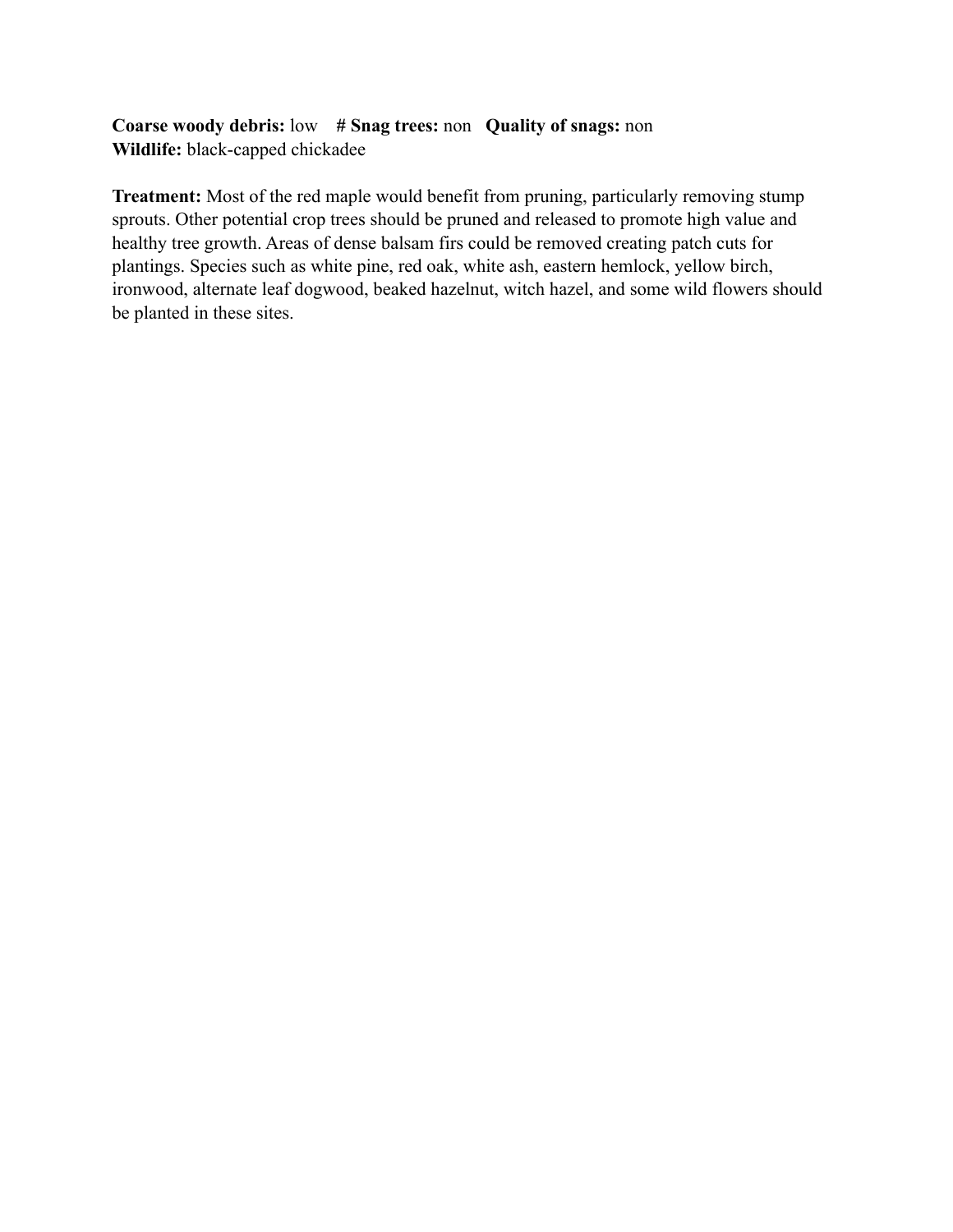## **Coarse woody debris:** low **# Snag trees:** non **Quality of snags:** non **Wildlife:** black-capped chickadee

**Treatment:** Most of the red maple would benefit from pruning, particularly removing stump sprouts. Other potential crop trees should be pruned and released to promote high value and healthy tree growth. Areas of dense balsam firs could be removed creating patch cuts for plantings. Species such as white pine, red oak, white ash, eastern hemlock, yellow birch, ironwood, alternate leaf dogwood, beaked hazelnut, witch hazel, and some wild flowers should be planted in these sites.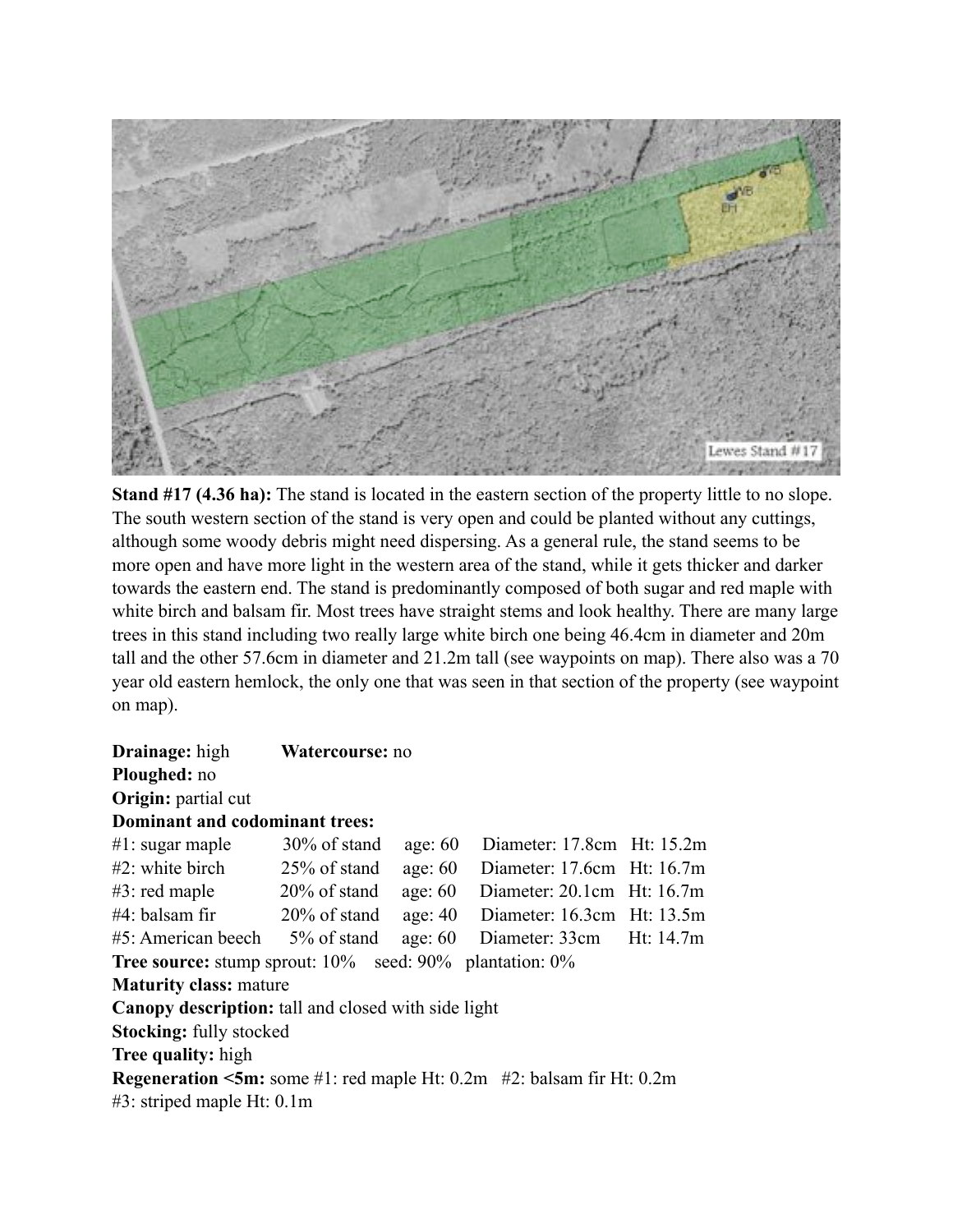

**Stand #17 (4.36 ha):** The stand is located in the eastern section of the property little to no slope. The south western section of the stand is very open and could be planted without any cuttings, although some woody debris might need dispersing. As a general rule, the stand seems to be more open and have more light in the western area of the stand, while it gets thicker and darker towards the eastern end. The stand is predominantly composed of both sugar and red maple with white birch and balsam fir. Most trees have straight stems and look healthy. There are many large trees in this stand including two really large white birch one being 46.4cm in diameter and 20m tall and the other 57.6cm in diameter and 21.2m tall (see waypoints on map). There also was a 70 year old eastern hemlock, the only one that was seen in that section of the property (see waypoint on map).

| <b>Drainage:</b> high                                                                         | Watercourse: no |           |                                |  |  |  |  |  |
|-----------------------------------------------------------------------------------------------|-----------------|-----------|--------------------------------|--|--|--|--|--|
| Ploughed: no                                                                                  |                 |           |                                |  |  |  |  |  |
| <b>Origin:</b> partial cut                                                                    |                 |           |                                |  |  |  |  |  |
| Dominant and codominant trees:                                                                |                 |           |                                |  |  |  |  |  |
| #1: sugar maple                                                                               | $30\%$ of stand | age: $60$ | Diameter: $17.8cm$ Ht: $15.2m$ |  |  |  |  |  |
| #2: white birch                                                                               | $25\%$ of stand | age: $60$ | Diameter: 17.6cm Ht: 16.7m     |  |  |  |  |  |
| $\#3$ : red maple $20\%$ of stand                                                             |                 | age: $60$ | Diameter: $20.1cm$ Ht: $16.7m$ |  |  |  |  |  |
| $#4$ : balsam fir $20\%$ of stand                                                             |                 | age: $40$ | Diameter: 16.3cm Ht: 13.5m     |  |  |  |  |  |
| $#5$ : American beech $5\%$ of stand                                                          |                 | age: $60$ | Diameter: 33cm Ht: 14.7m       |  |  |  |  |  |
| <b>Tree source:</b> stump sprout: $10\%$ seed: $90\%$ plantation: $0\%$                       |                 |           |                                |  |  |  |  |  |
| <b>Maturity class: mature</b>                                                                 |                 |           |                                |  |  |  |  |  |
| <b>Canopy description:</b> tall and closed with side light                                    |                 |           |                                |  |  |  |  |  |
| <b>Stocking:</b> fully stocked                                                                |                 |           |                                |  |  |  |  |  |
| Tree quality: high                                                                            |                 |           |                                |  |  |  |  |  |
| <b>Regeneration <math>\leq 5m</math>:</b> some #1: red maple Ht: 0.2m #2: balsam fir Ht: 0.2m |                 |           |                                |  |  |  |  |  |
| #3: striped maple Ht: 0.1m                                                                    |                 |           |                                |  |  |  |  |  |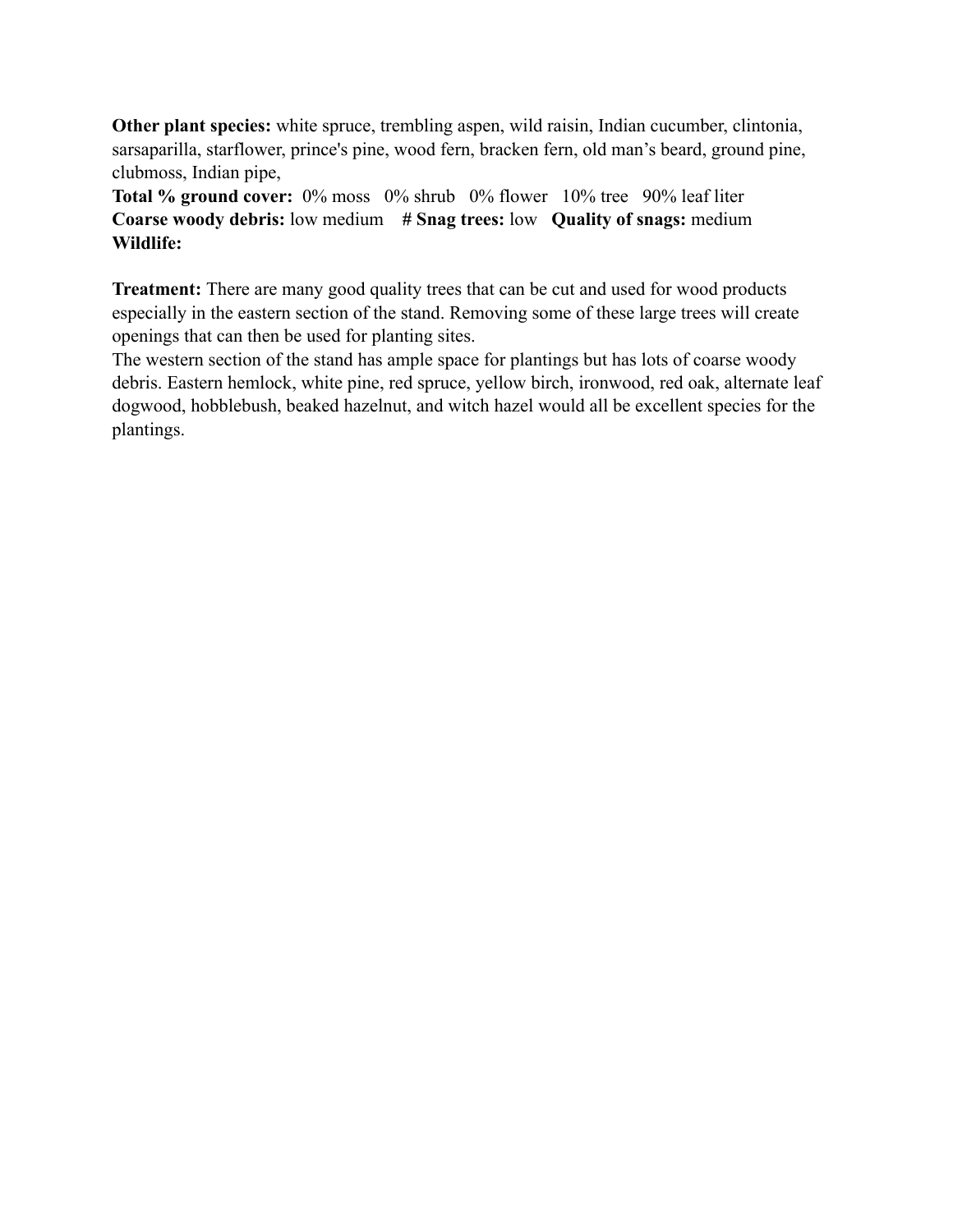**Other plant species:** white spruce, trembling aspen, wild raisin, Indian cucumber, clintonia, sarsaparilla, starflower, prince's pine, wood fern, bracken fern, old man's beard, ground pine, clubmoss, Indian pipe,

**Total % ground cover:** 0% moss 0% shrub 0% flower 10% tree 90% leaf liter **Coarse woody debris:** low medium **# Snag trees:** low **Quality of snags:** medium **Wildlife:** 

**Treatment:** There are many good quality trees that can be cut and used for wood products especially in the eastern section of the stand. Removing some of these large trees will create openings that can then be used for planting sites.

The western section of the stand has ample space for plantings but has lots of coarse woody debris. Eastern hemlock, white pine, red spruce, yellow birch, ironwood, red oak, alternate leaf dogwood, hobblebush, beaked hazelnut, and witch hazel would all be excellent species for the plantings.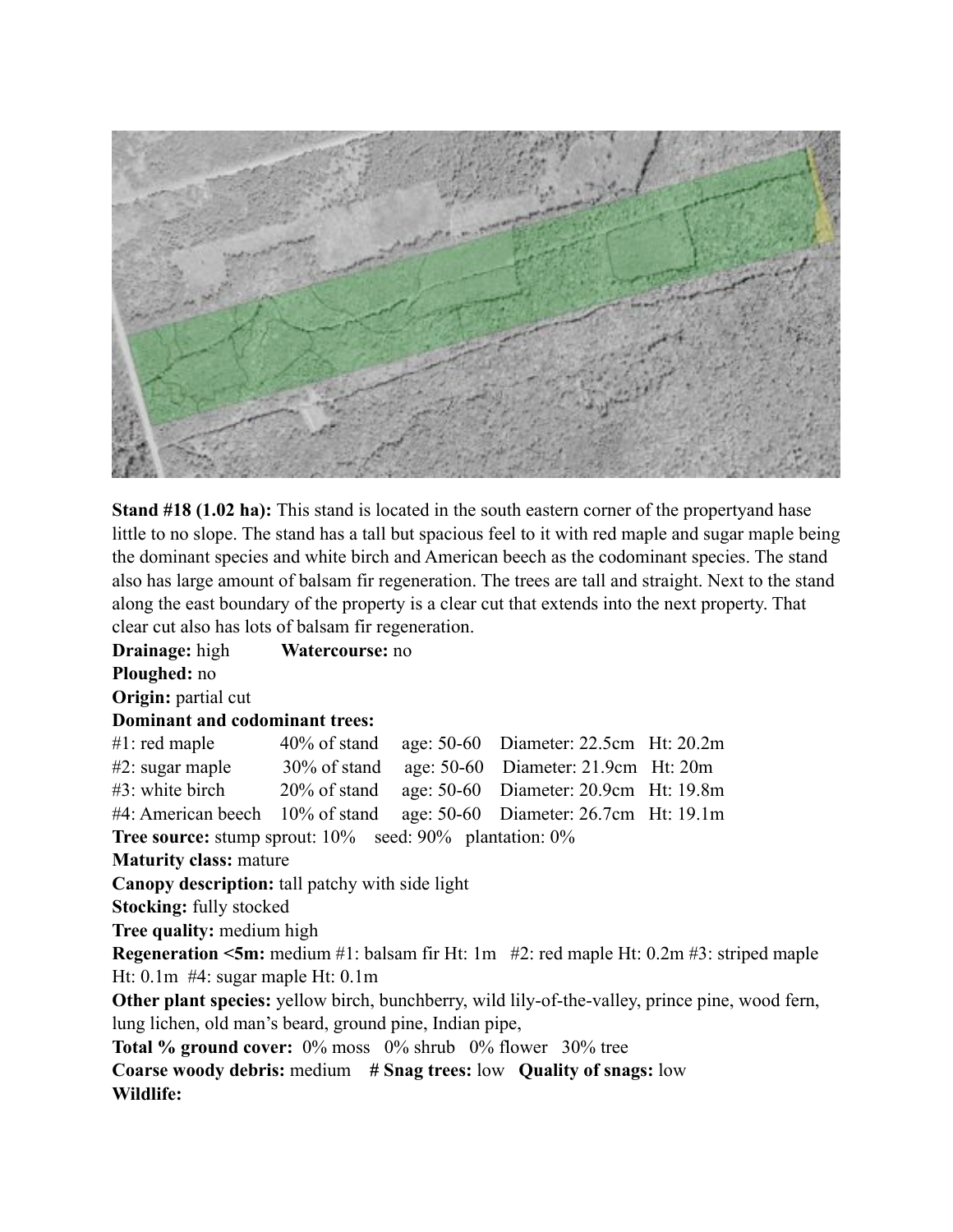

**Stand #18 (1.02 ha):** This stand is located in the south eastern corner of the propertyand hase little to no slope. The stand has a tall but spacious feel to it with red maple and sugar maple being the dominant species and white birch and American beech as the codominant species. The stand also has large amount of balsam fir regeneration. The trees are tall and straight. Next to the stand along the east boundary of the property is a clear cut that extends into the next property. That clear cut also has lots of balsam fir regeneration.

**Drainage:** high **Watercourse:** no **Ploughed:** no **Origin:** partial cut **Dominant and codominant trees:** #1: red maple 40% of stand age: 50-60 Diameter: 22.5cm Ht: 20.2m #2: sugar maple 30% of stand age: 50-60 Diameter: 21.9cm Ht: 20m #3: white birch 20% of stand age: 50-60 Diameter: 20.9cm Ht: 19.8m #4: American beech 10% of stand age: 50-60 Diameter: 26.7cm Ht: 19.1m **Tree source:** stump sprout: 10% seed: 90% plantation: 0% **Maturity class:** mature **Canopy description:** tall patchy with side light **Stocking:** fully stocked **Tree quality:** medium high **Regeneration <5m:** medium #1: balsam fir Ht: 1m #2: red maple Ht: 0.2m #3: striped maple Ht: 0.1m #4: sugar maple Ht: 0.1m **Other plant species:** yellow birch, bunchberry, wild lily-of-the-valley, prince pine, wood fern, lung lichen, old man's beard, ground pine, Indian pipe, **Total % ground cover:** 0% moss 0% shrub 0% flower 30% tree **Coarse woody debris:** medium **# Snag trees:** low **Quality of snags:** low

**Wildlife:**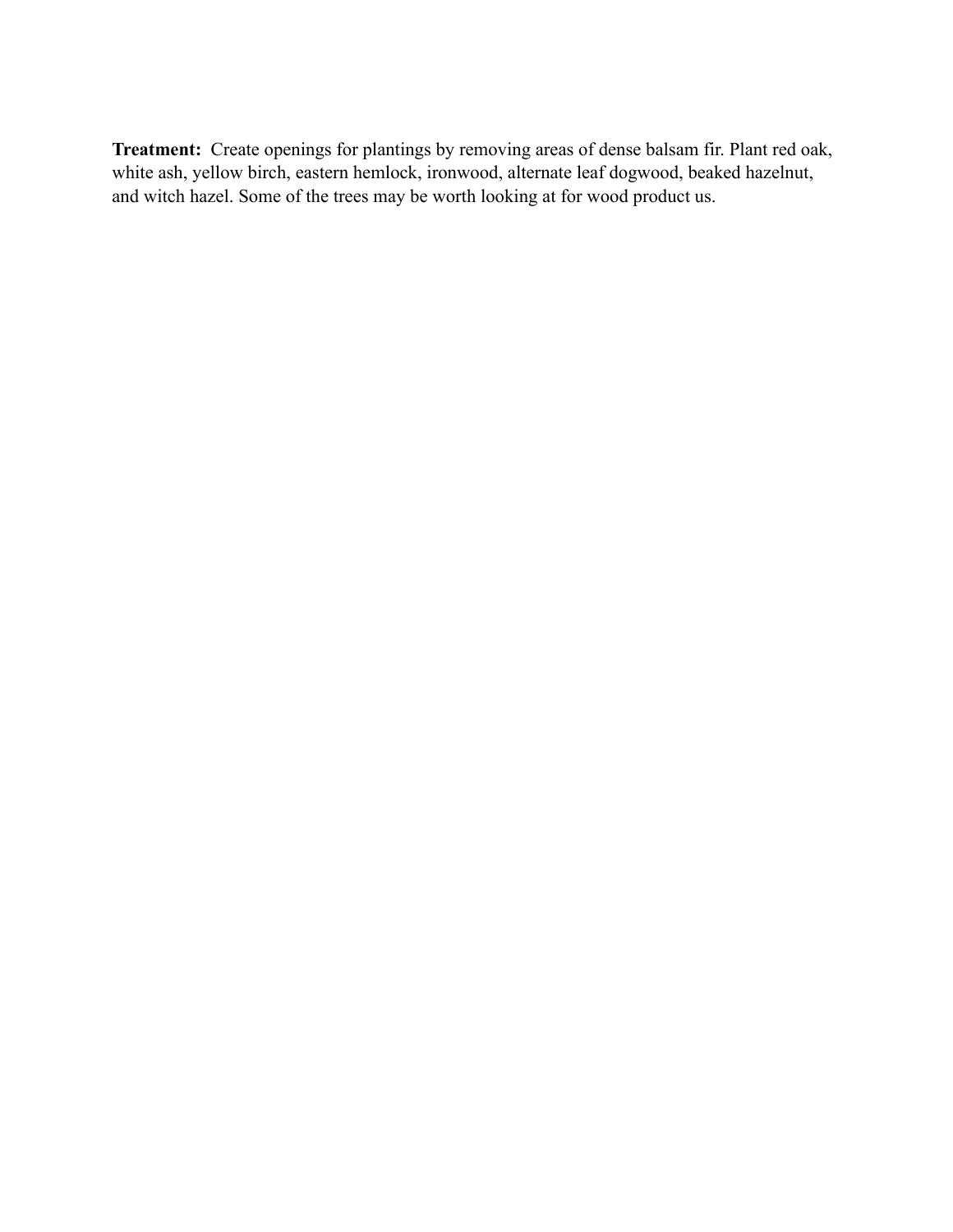**Treatment:** Create openings for plantings by removing areas of dense balsam fir. Plant red oak, white ash, yellow birch, eastern hemlock, ironwood, alternate leaf dogwood, beaked hazelnut, and witch hazel. Some of the trees may be worth looking at for wood product us.